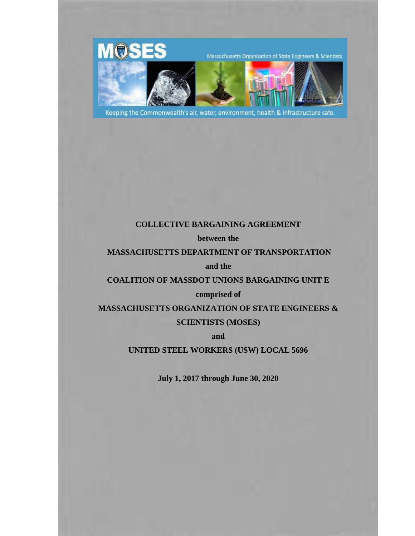

Keeping the Commonwealth's air, water, environment, health & infrastructure safe.

## **COLLECTIVE BARGAINING AGREEMENT**

**between the**

#### **MASSACHUSETTS DEPARTMENT OF TRANSPORTATION**

**and the** 

#### **COALITION OF MASSDOT UNIONS BARGAINING UNIT E**

#### **comprised of**

# **MASSACHUSETTS ORGANIZATION OF STATE ENGINEERS & SCIENTISTS (MOSES)**

**and**

## **UNITED STEEL WORKERS (USW) LOCAL 5696**

**July 1, 2017 through June 30, 2020**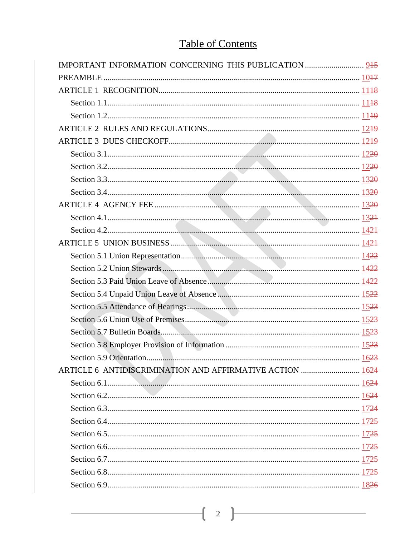# **Table of Contents**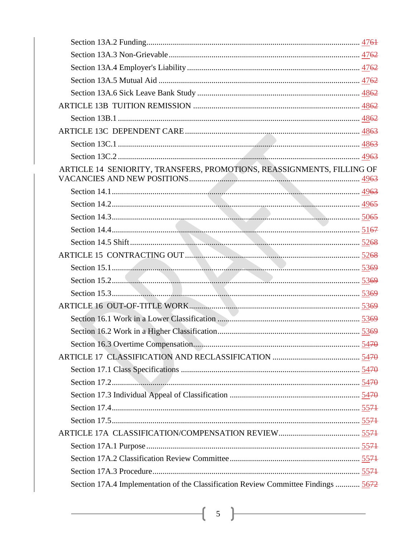| ARTICLE 14 SENIORITY, TRANSFERS, PROMOTIONS, REASSIGNMENTS, FILLING OF             |  |
|------------------------------------------------------------------------------------|--|
|                                                                                    |  |
|                                                                                    |  |
|                                                                                    |  |
|                                                                                    |  |
|                                                                                    |  |
|                                                                                    |  |
|                                                                                    |  |
|                                                                                    |  |
|                                                                                    |  |
|                                                                                    |  |
|                                                                                    |  |
|                                                                                    |  |
|                                                                                    |  |
|                                                                                    |  |
|                                                                                    |  |
|                                                                                    |  |
|                                                                                    |  |
|                                                                                    |  |
|                                                                                    |  |
|                                                                                    |  |
|                                                                                    |  |
|                                                                                    |  |
|                                                                                    |  |
| Section 17A.4 Implementation of the Classification Review Committee Findings  5672 |  |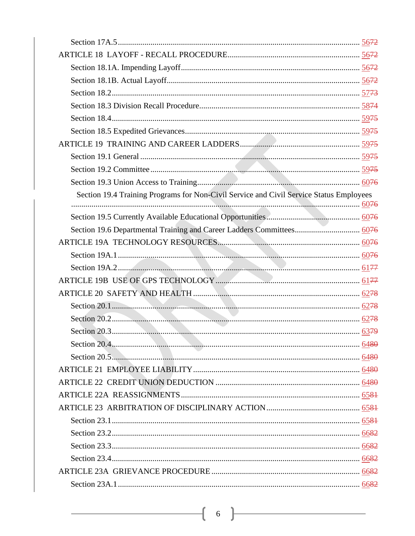| Section 19.4 Training Programs for Non-Civil Service and Civil Service Status Employees |  |
|-----------------------------------------------------------------------------------------|--|
|                                                                                         |  |
|                                                                                         |  |
|                                                                                         |  |
|                                                                                         |  |
|                                                                                         |  |
|                                                                                         |  |
|                                                                                         |  |
|                                                                                         |  |
|                                                                                         |  |
|                                                                                         |  |
|                                                                                         |  |
|                                                                                         |  |
|                                                                                         |  |
|                                                                                         |  |
|                                                                                         |  |
|                                                                                         |  |
|                                                                                         |  |
|                                                                                         |  |
|                                                                                         |  |
|                                                                                         |  |
|                                                                                         |  |
|                                                                                         |  |
|                                                                                         |  |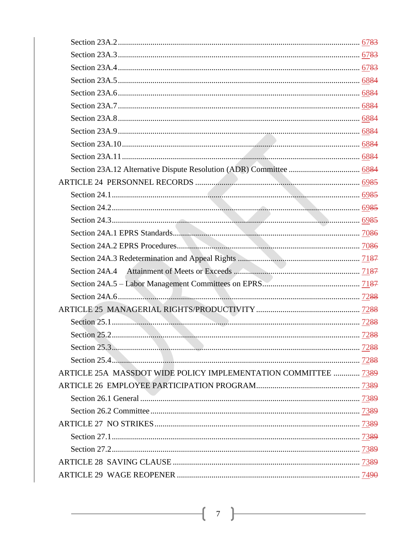| ARTICLE 25A MASSDOT WIDE POLICY IMPLEMENTATION COMMITTEE  7389 |  |
|----------------------------------------------------------------|--|
|                                                                |  |
|                                                                |  |
|                                                                |  |
|                                                                |  |
|                                                                |  |
|                                                                |  |
|                                                                |  |
|                                                                |  |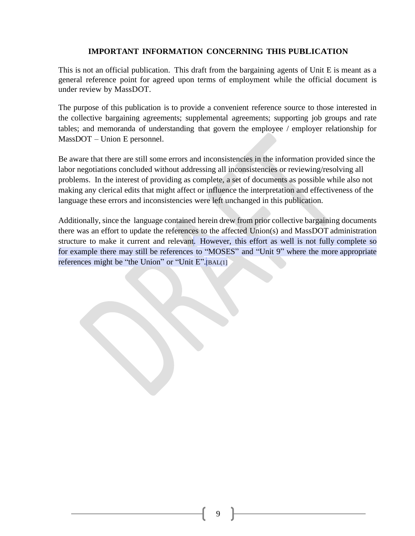## <span id="page-8-0"></span>**IMPORTANT INFORMATION CONCERNING THIS PUBLICATION**

This is not an official publication. This draft from the bargaining agents of Unit E is meant as a general reference point for agreed upon terms of employment while the official document is under review by MassDOT.

The purpose of this publication is to provide a convenient reference source to those interested in the collective bargaining agreements; supplemental agreements; supporting job groups and rate tables; and memoranda of understanding that govern the employee / employer relationship for MassDOT – Union E personnel.

Be aware that there are still some errors and inconsistencies in the information provided since the labor negotiations concluded without addressing all inconsistencies or reviewing/resolving all problems. In the interest of providing as complete, a set of documents as possible while also not making any clerical edits that might affect or influence the interpretation and effectiveness of the language these errors and inconsistencies were left unchanged in this publication.

Additionally, since the language contained herein drew from prior collective bargaining documents there was an effort to update the references to the affected Union(s) and MassDOT administration structure to make it current and relevant. However, this effort as well is not fully complete so for example there may still be references to "MOSES" and "Unit 9" where the more appropriate references might be "the Union" or "Unit E".[BAL(1]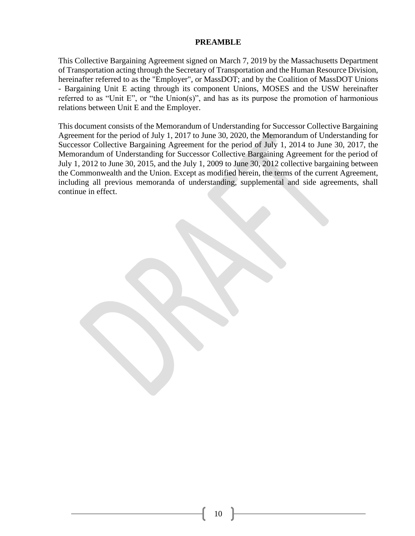#### **PREAMBLE**

<span id="page-9-0"></span>This Collective Bargaining Agreement signed on March 7, 2019 by the Massachusetts Department of Transportation acting through the Secretary of Transportation and the Human Resource Division, hereinafter referred to as the "Employer", or MassDOT; and by the Coalition of MassDOT Unions - Bargaining Unit E acting through its component Unions, MOSES and the USW hereinafter referred to as "Unit E", or "the Union(s)", and has as its purpose the promotion of harmonious relations between Unit E and the Employer.

This document consists of the Memorandum of Understanding for Successor Collective Bargaining Agreement for the period of July 1, 2017 to June 30, 2020, the Memorandum of Understanding for Successor Collective Bargaining Agreement for the period of July 1, 2014 to June 30, 2017, the Memorandum of Understanding for Successor Collective Bargaining Agreement for the period of July 1, 2012 to June 30, 2015, and the July 1, 2009 to June 30, 2012 collective bargaining between the Commonwealth and the Union. Except as modified herein, the terms of the current Agreement, including all previous memoranda of understanding, supplemental and side agreements, shall continue in effect.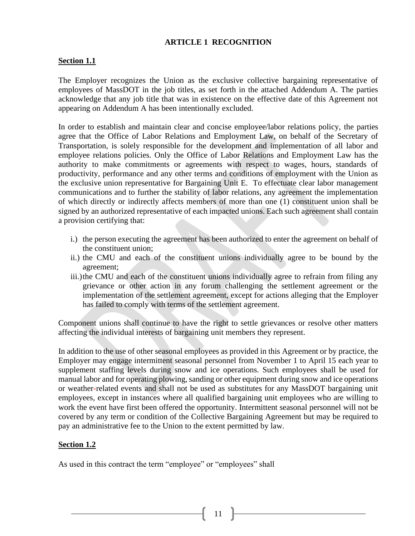#### **ARTICLE 1 RECOGNITION**

#### <span id="page-10-1"></span><span id="page-10-0"></span>**Section 1.1**

The Employer recognizes the Union as the exclusive collective bargaining representative of employees of MassDOT in the job titles, as set forth in the attached Addendum A. The parties acknowledge that any job title that was in existence on the effective date of this Agreement not appearing on Addendum A has been intentionally excluded.

In order to establish and maintain clear and concise employee/labor relations policy, the parties agree that the Office of Labor Relations and Employment Law, on behalf of the Secretary of Transportation, is solely responsible for the development and implementation of all labor and employee relations policies. Only the Office of Labor Relations and Employment Law has the authority to make commitments or agreements with respect to wages, hours, standards of productivity, performance and any other terms and conditions of employment with the Union as the exclusive union representative for Bargaining Unit E. To effectuate clear labor management communications and to further the stability of labor relations, any agreement the implementation of which directly or indirectly affects members of more than one (1) constituent union shall be signed by an authorized representative of each impacted unions. Each such agreement shall contain a provision certifying that:

- i.) the person executing the agreement has been authorized to enter the agreement on behalf of the constituent union;
- ii.) the CMU and each of the constituent unions individually agree to be bound by the agreement;
- iii.)the CMU and each of the constituent unions individually agree to refrain from filing any grievance or other action in any forum challenging the settlement agreement or the implementation of the settlement agreement, except for actions alleging that the Employer has failed to comply with terms of the settlement agreement.

Component unions shall continue to have the right to settle grievances or resolve other matters affecting the individual interests of bargaining unit members they represent.

In addition to the use of other seasonal employees as provided in this Agreement or by practice*,* the Employer may engage intermittent seasonal personnel from November 1 to April 15 each year to supplement staffing levels during snow and ice operations. Such employees shall be used for manual labor and for operating plowing, sanding or other equipment during snow and ice operations or weather-related events and shall not be used as substitutes for any MassDOT bargaining unit employees, except in instances where all qualified bargaining unit employees who are willing to work the event have first been offered the opportunity. Intermittent seasonal personnel will not be covered by any term or condition of the Collective Bargaining Agreement but may be required to pay an administrative fee to the Union to the extent permitted by law.

#### <span id="page-10-2"></span>**Section 1.2**

As used in this contract the term "employee" or "employees" shall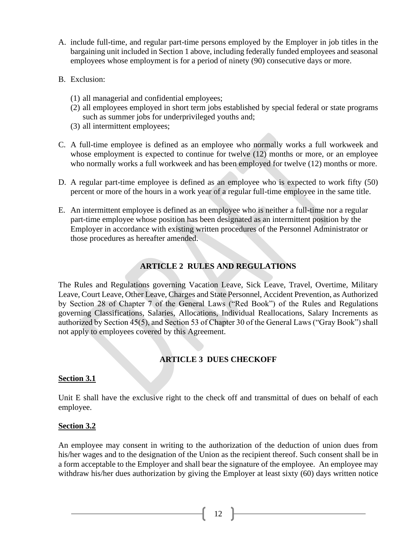- A. include full-time, and regular part-time persons employed by the Employer in job titles in the bargaining unit included in Section 1 above, including federally funded employees and seasonal employees whose employment is for a period of ninety (90) consecutive days or more.
- B. Exclusion:
	- (1) all managerial and confidential employees;
	- (2) all employees employed in short term jobs established by special federal or state programs such as summer jobs for underprivileged youths and;
	- (3) all intermittent employees;
- C. A full-time employee is defined as an employee who normally works a full workweek and whose employment is expected to continue for twelve (12) months or more, or an employee who normally works a full workweek and has been employed for twelve (12) months or more.
- D. A regular part-time employee is defined as an employee who is expected to work fifty (50) percent or more of the hours in a work year of a regular full-time employee in the same title.
- E. An intermittent employee is defined as an employee who is neither a full-time nor a regular part-time employee whose position has been designated as an intermittent position by the Employer in accordance with existing written procedures of the Personnel Administrator or those procedures as hereafter amended.

## **ARTICLE 2 RULES AND REGULATIONS**

<span id="page-11-0"></span>The Rules and Regulations governing Vacation Leave, Sick Leave, Travel, Overtime, Military Leave, Court Leave, Other Leave, Charges and State Personnel, Accident Prevention, as Authorized by Section 28 of Chapter 7 of the General Laws ("Red Book") of the Rules and Regulations governing Classifications, Salaries, Allocations, Individual Reallocations, Salary Increments as authorized by Section 45(5), and Section 53 of Chapter 30 of the General Laws ("Gray Book") shall not apply to employees covered by this Agreement.

## **ARTICLE 3 DUES CHECKOFF**

#### <span id="page-11-2"></span><span id="page-11-1"></span>**Section 3.1**

Unit E shall have the exclusive right to the check off and transmittal of dues on behalf of each employee.

#### <span id="page-11-3"></span>**Section 3.2**

An employee may consent in writing to the authorization of the deduction of union dues from his/her wages and to the designation of the Union as the recipient thereof. Such consent shall be in a form acceptable to the Employer and shall bear the signature of the employee. An employee may withdraw his/her dues authorization by giving the Employer at least sixty (60) days written notice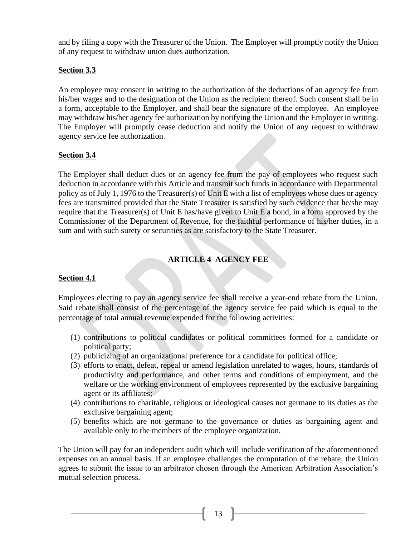and by filing a copy with the Treasurer of the Union. The Employer will promptly notify the Union of any request to withdraw union dues authorization.

## <span id="page-12-0"></span>**Section 3.3**

An employee may consent in writing to the authorization of the deductions of an agency fee from his/her wages and to the designation of the Union as the recipient thereof. Such consent shall be in a form, acceptable to the Employer, and shall bear the signature of the employee. An employee may withdraw his/her agency fee authorization by notifying the Union and the Employer in writing. The Employer will promptly cease deduction and notify the Union of any request to withdraw agency service fee authorization.

## <span id="page-12-1"></span>**Section 3.4**

The Employer shall deduct dues or an agency fee from the pay of employees who request such deduction in accordance with this Article and transmit such funds in accordance with Departmental policy as of July 1, 1976 to the Treasurer(s) of Unit E with a list of employees whose dues or agency fees are transmitted provided that the State Treasurer is satisfied by such evidence that he/she may require that the Treasurer(s) of Unit E has/have given to Unit E a bond, in a form approved by the Commissioner of the Department of Revenue, for the faithful performance of his/her duties, in a sum and with such surety or securities as are satisfactory to the State Treasurer.

## **ARTICLE 4 AGENCY FEE**

#### <span id="page-12-3"></span><span id="page-12-2"></span>**Section 4.1**

Employees electing to pay an agency service fee shall receive a year-end rebate from the Union. Said rebate shall consist of the percentage of the agency service fee paid which is equal to the percentage of total annual revenue expended for the following activities:

- (1) contributions to political candidates or political committees formed for a candidate or political party;
- (2) publicizing of an organizational preference for a candidate for political office;
- (3) efforts to enact, defeat, repeal or amend legislation unrelated to wages, hours, standards of productivity and performance, and other terms and conditions of employment, and the welfare or the working environment of employees represented by the exclusive bargaining agent or its affiliates;
- (4) contributions to charitable, religious or ideological causes not germane to its duties as the exclusive bargaining agent;
- (5) benefits which are not germane to the governance or duties as bargaining agent and available only to the members of the employee organization.

The Union will pay for an independent audit which will include verification of the aforementioned expenses on an annual basis. If an employee challenges the computation of the rebate, the Union agrees to submit the issue to an arbitrator chosen through the American Arbitration Association's mutual selection process.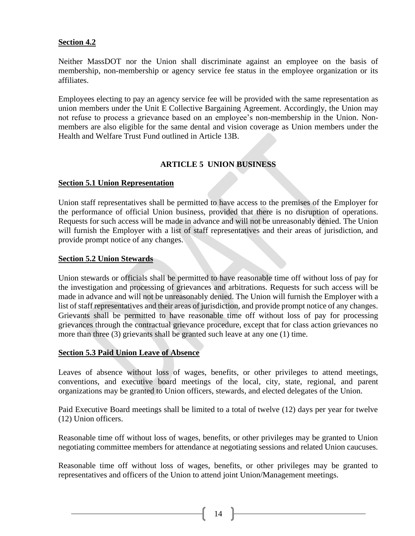#### <span id="page-13-0"></span>**Section 4.2**

Neither MassDOT nor the Union shall discriminate against an employee on the basis of membership, non-membership or agency service fee status in the employee organization or its affiliates.

Employees electing to pay an agency service fee will be provided with the same representation as union members under the Unit E Collective Bargaining Agreement. Accordingly, the Union may not refuse to process a grievance based on an employee's non-membership in the Union. Nonmembers are also eligible for the same dental and vision coverage as Union members under the Health and Welfare Trust Fund outlined in Article 13B.

## **ARTICLE 5 UNION BUSINESS**

## <span id="page-13-2"></span><span id="page-13-1"></span>**Section 5.1 Union Representation**

Union staff representatives shall be permitted to have access to the premises of the Employer for the performance of official Union business, provided that there is no disruption of operations. Requests for such access will be made in advance and will not be unreasonably denied. The Union will furnish the Employer with a list of staff representatives and their areas of jurisdiction, and provide prompt notice of any changes.

#### <span id="page-13-3"></span>**Section 5.2 Union Stewards**

Union stewards or officials shall be permitted to have reasonable time off without loss of pay for the investigation and processing of grievances and arbitrations. Requests for such access will be made in advance and will not be unreasonably denied. The Union will furnish the Employer with a list of staff representatives and their areas of jurisdiction, and provide prompt notice of any changes. Grievants shall be permitted to have reasonable time off without loss of pay for processing grievances through the contractual grievance procedure, except that for class action grievances no more than three (3) grievants shall be granted such leave at any one (1) time.

#### <span id="page-13-4"></span>**Section 5.3 Paid Union Leave of Absence**

Leaves of absence without loss of wages, benefits, or other privileges to attend meetings, conventions, and executive board meetings of the local, city, state, regional, and parent organizations may be granted to Union officers, stewards, and elected delegates of the Union.

Paid Executive Board meetings shall be limited to a total of twelve (12) days per year for twelve (12) Union officers.

Reasonable time off without loss of wages, benefits, or other privileges may be granted to Union negotiating committee members for attendance at negotiating sessions and related Union caucuses.

Reasonable time off without loss of wages, benefits, or other privileges may be granted to representatives and officers of the Union to attend joint Union/Management meetings.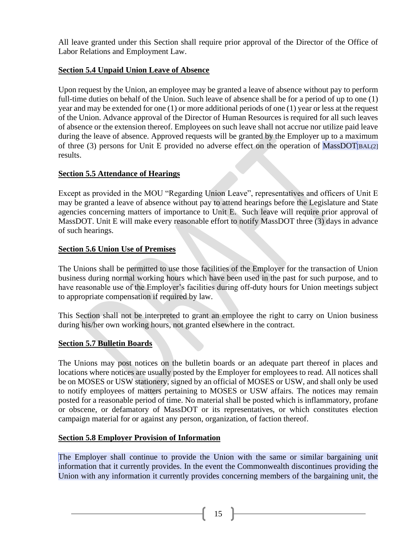All leave granted under this Section shall require prior approval of the Director of the Office of Labor Relations and Employment Law.

## <span id="page-14-0"></span>**Section 5.4 Unpaid Union Leave of Absence**

Upon request by the Union, an employee may be granted a leave of absence without pay to perform full-time duties on behalf of the Union. Such leave of absence shall be for a period of up to one (1) year and may be extended for one (1) or more additional periods of one (1) year or less at the request of the Union. Advance approval of the Director of Human Resources is required for all such leaves of absence or the extension thereof. Employees on such leave shall not accrue nor utilize paid leave during the leave of absence. Approved requests will be granted by the Employer up to a maximum of three (3) persons for Unit E provided no adverse effect on the operation of  $MassDOT<sub>[BAL(2]</sub>$ results.

## <span id="page-14-1"></span>**Section 5.5 Attendance of Hearings**

Except as provided in the MOU "Regarding Union Leave", representatives and officers of Unit E may be granted a leave of absence without pay to attend hearings before the Legislature and State agencies concerning matters of importance to Unit E. Such leave will require prior approval of MassDOT. Unit E will make every reasonable effort to notify MassDOT three (3) days in advance of such hearings.

## <span id="page-14-2"></span>**Section 5.6 Union Use of Premises**

The Unions shall be permitted to use those facilities of the Employer for the transaction of Union business during normal working hours which have been used in the past for such purpose, and to have reasonable use of the Employer's facilities during off-duty hours for Union meetings subject to appropriate compensation if required by law.

This Section shall not be interpreted to grant an employee the right to carry on Union business during his/her own working hours, not granted elsewhere in the contract.

## <span id="page-14-3"></span>**Section 5.7 Bulletin Boards**

The Unions may post notices on the bulletin boards or an adequate part thereof in places and locations where notices are usually posted by the Employer for employees to read. All notices shall be on MOSES or USW stationery, signed by an official of MOSES or USW, and shall only be used to notify employees of matters pertaining to MOSES or USW affairs. The notices may remain posted for a reasonable period of time. No material shall be posted which is inflammatory, profane or obscene, or defamatory of MassDOT or its representatives, or which constitutes election campaign material for or against any person, organization, of faction thereof.

## <span id="page-14-4"></span>**Section 5.8 Employer Provision of Information**

The Employer shall continue to provide the Union with the same or similar bargaining unit information that it currently provides. In the event the Commonwealth discontinues providing the Union with any information it currently provides concerning members of the bargaining unit, the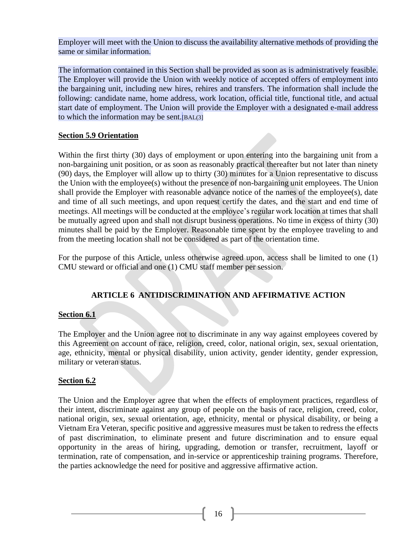Employer will meet with the Union to discuss the availability alternative methods of providing the same or similar information.

The information contained in this Section shall be provided as soon as is administratively feasible. The Employer will provide the Union with weekly notice of accepted offers of employment into the bargaining unit, including new hires, rehires and transfers. The information shall include the following: candidate name, home address, work location, official title, functional title, and actual start date of employment. The Union will provide the Employer with a designated e-mail address to which the information may be sent.[BAL(3]

## <span id="page-15-0"></span>**Section 5.9 Orientation**

Within the first thirty (30) days of employment or upon entering into the bargaining unit from a non-bargaining unit position, or as soon as reasonably practical thereafter but not later than ninety (90) days, the Employer will allow up to thirty (30) minutes for a Union representative to discuss the Union with the employee(s) without the presence of non-bargaining unit employees. The Union shall provide the Employer with reasonable advance notice of the names of the employee(s), date and time of all such meetings, and upon request certify the dates, and the start and end time of meetings. All meetings will be conducted at the employee's regular work location at times that shall be mutually agreed upon and shall not disrupt business operations. No time in excess of thirty (30) minutes shall be paid by the Employer. Reasonable time spent by the employee traveling to and from the meeting location shall not be considered as part of the orientation time.

For the purpose of this Article, unless otherwise agreed upon, access shall be limited to one (1) CMU steward or official and one (1) CMU staff member per session.

## **ARTICLE 6 ANTIDISCRIMINATION AND AFFIRMATIVE ACTION**

## <span id="page-15-2"></span><span id="page-15-1"></span>**Section 6.1**

The Employer and the Union agree not to discriminate in any way against employees covered by this Agreement on account of race, religion, creed, color, national origin, sex, sexual orientation, age, ethnicity, mental or physical disability, union activity, gender identity, gender expression, military or veteran status.

#### <span id="page-15-3"></span>**Section 6.2**

The Union and the Employer agree that when the effects of employment practices, regardless of their intent, discriminate against any group of people on the basis of race, religion, creed, color, national origin, sex, sexual orientation, age, ethnicity, mental or physical disability, or being a Vietnam Era Veteran, specific positive and aggressive measures must be taken to redress the effects of past discrimination, to eliminate present and future discrimination and to ensure equal opportunity in the areas of hiring, upgrading, demotion or transfer, recruitment, layoff or termination, rate of compensation, and in-service or apprenticeship training programs. Therefore, the parties acknowledge the need for positive and aggressive affirmative action.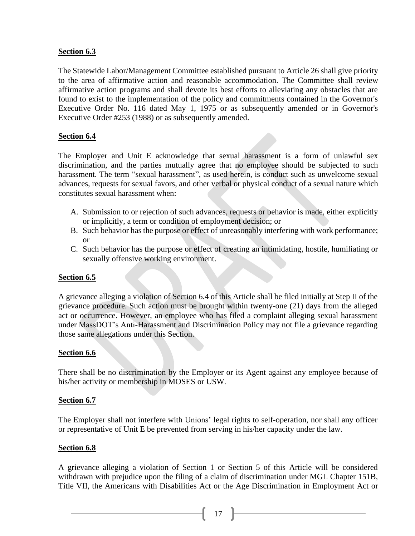## <span id="page-16-0"></span>**Section 6.3**

The Statewide Labor/Management Committee established pursuant to Article 26 shall give priority to the area of affirmative action and reasonable accommodation. The Committee shall review affirmative action programs and shall devote its best efforts to alleviating any obstacles that are found to exist to the implementation of the policy and commitments contained in the Governor's Executive Order No. 116 dated May 1, 1975 or as subsequently amended or in Governor's Executive Order #253 (1988) or as subsequently amended.

## <span id="page-16-1"></span>**Section 6.4**

The Employer and Unit E acknowledge that sexual harassment is a form of unlawful sex discrimination, and the parties mutually agree that no employee should be subjected to such harassment. The term "sexual harassment", as used herein, is conduct such as unwelcome sexual advances, requests for sexual favors, and other verbal or physical conduct of a sexual nature which constitutes sexual harassment when:

- A. Submission to or rejection of such advances, requests or behavior is made, either explicitly or implicitly, a term or condition of employment decision; or
- B. Such behavior has the purpose or effect of unreasonably interfering with work performance; or
- C. Such behavior has the purpose or effect of creating an intimidating, hostile, humiliating or sexually offensive working environment.

## <span id="page-16-2"></span>**Section 6.5**

A grievance alleging a violation of Section 6.4 of this Article shall be filed initially at Step II of the grievance procedure. Such action must be brought within twenty-one (21) days from the alleged act or occurrence. However, an employee who has filed a complaint alleging sexual harassment under MassDOT's Anti-Harassment and Discrimination Policy may not file a grievance regarding those same allegations under this Section.

#### <span id="page-16-3"></span>**Section 6.6**

There shall be no discrimination by the Employer or its Agent against any employee because of his/her activity or membership in MOSES or USW.

#### <span id="page-16-4"></span>**Section 6.7**

The Employer shall not interfere with Unions' legal rights to self-operation, nor shall any officer or representative of Unit E be prevented from serving in his/her capacity under the law.

#### <span id="page-16-5"></span>**Section 6.8**

A grievance alleging a violation of Section 1 or Section 5 of this Article will be considered withdrawn with prejudice upon the filing of a claim of discrimination under MGL Chapter 151B, Title VII, the Americans with Disabilities Act or the Age Discrimination in Employment Act or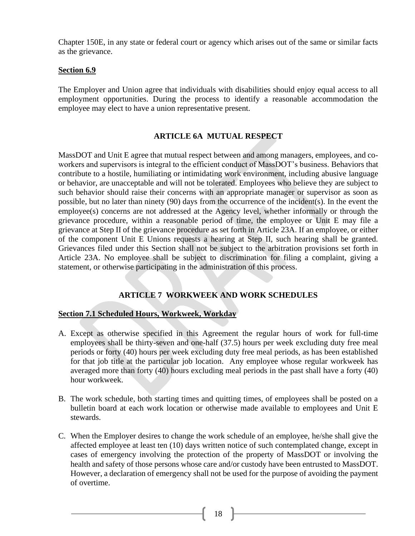Chapter 150E, in any state or federal court or agency which arises out of the same or similar facts as the grievance.

#### <span id="page-17-0"></span>**Section 6.9**

The Employer and Union agree that individuals with disabilities should enjoy equal access to all employment opportunities. During the process to identify a reasonable accommodation the employee may elect to have a union representative present.

#### **ARTICLE 6A MUTUAL RESPECT**

<span id="page-17-1"></span>MassDOT and Unit E agree that mutual respect between and among managers, employees, and coworkers and supervisors is integral to the efficient conduct of MassDOT's business. Behaviors that contribute to a hostile, humiliating or intimidating work environment, including abusive language or behavior, are unacceptable and will not be tolerated. Employees who believe they are subject to such behavior should raise their concerns with an appropriate manager or supervisor as soon as possible, but no later than ninety (90) days from the occurrence of the incident(s). In the event the employee(s) concerns are not addressed at the Agency level, whether informally or through the grievance procedure, within a reasonable period of time, the employee or Unit E may file a grievance at Step II of the grievance procedure as set forth in Article 23A. If an employee, or either of the component Unit E Unions requests a hearing at Step II, such hearing shall be granted. Grievances filed under this Section shall not be subject to the arbitration provisions set forth in Article 23A. No employee shall be subject to discrimination for filing a complaint, giving a statement, or otherwise participating in the administration of this process.

#### **ARTICLE 7 WORKWEEK AND WORK SCHEDULES**

#### <span id="page-17-3"></span><span id="page-17-2"></span>**Section 7.1 Scheduled Hours, Workweek, Workday**

- A. Except as otherwise specified in this Agreement the regular hours of work for full-time employees shall be thirty-seven and one-half (37.5) hours per week excluding duty free meal periods or forty (40) hours per week excluding duty free meal periods, as has been established for that job title at the particular job location. Any employee whose regular workweek has averaged more than forty (40) hours excluding meal periods in the past shall have a forty (40) hour workweek.
- B. The work schedule, both starting times and quitting times, of employees shall be posted on a bulletin board at each work location or otherwise made available to employees and Unit E stewards.
- C. When the Employer desires to change the work schedule of an employee, he/she shall give the affected employee at least ten (10) days written notice of such contemplated change, except in cases of emergency involving the protection of the property of MassDOT or involving the health and safety of those persons whose care and/or custody have been entrusted to MassDOT. However, a declaration of emergency shall not be used for the purpose of avoiding the payment of overtime.

18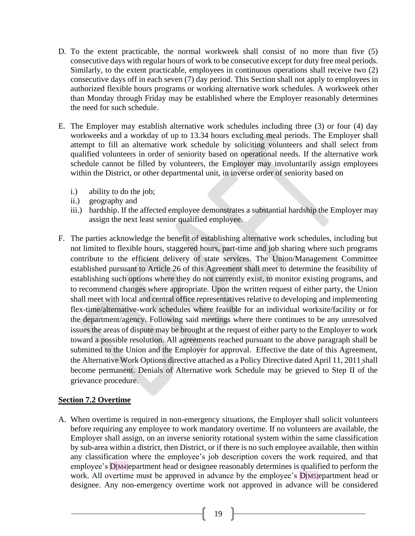- D. To the extent practicable, the normal workweek shall consist of no more than five (5) consecutive days with regular hours of work to be consecutive except for duty free meal periods. Similarly, to the extent practicable, employees in continuous operations shall receive two (2) consecutive days off in each seven (7) day period. This Section shall not apply to employees in authorized flexible hours programs or working alternative work schedules. A workweek other than Monday through Friday may be established where the Employer reasonably determines the need for such schedule.
- E. The Employer may establish alternative work schedules including three (3) or four (4) day workweeks and a workday of up to 13.34 hours excluding meal periods. The Employer shall attempt to fill an alternative work schedule by soliciting volunteers and shall select from qualified volunteers in order of seniority based on operational needs. If the alternative work schedule cannot be filled by volunteers, the Employer may involuntarily assign employees within the District, or other departmental unit, in inverse order of seniority based on
	- i.) ability to do the job;
	- ii.) geography and
	- iii.) hardship. If the affected employee demonstrates a substantial hardship the Employer may assign the next least senior qualified employee.
- F. The parties acknowledge the benefit of establishing alternative work schedules, including but not limited to flexible hours, staggered hours, part-time and job sharing where such programs contribute to the efficient delivery of state services. The Union/Management Committee established pursuant to Article 26 of this Agreement shall meet to determine the feasibility of establishing such options where they do not currently exist, to monitor existing programs, and to recommend changes where appropriate. Upon the written request of either party, the Union shall meet with local and central office representatives relative to developing and implementing flex-time/alternative-work schedules where feasible for an individual worksite/facility or for the department/agency. Following said meetings where there continues to be any unresolved issues the areas of dispute may be brought at the request of either party to the Employer to work toward a possible resolution. All agreements reached pursuant to the above paragraph shall be submitted to the Union and the Employer for approval. Effective the date of this Agreement, the Alternative Work Options directive attached as a Policy Directive dated April 11, 2011 shall become permanent. Denials of Alternative work Schedule may be grieved to Step II of the grievance procedure.

## <span id="page-18-0"></span>**Section 7.2 Overtime**

A. When overtime is required in non-emergency situations, the Employer shall solicit volunteers before requiring any employee to work mandatory overtime. If no volunteers are available, the Employer shall assign, on an inverse seniority rotational system within the same classification by sub-area within a district, then District, or if there is no such employee available, then within any classification where the employee's job description covers the work required, and that employee's D<sub>[M4]</sub>epartment head or designee reasonably determines is qualified to perform the work. All overtime must be approved in advance by the employee's  $D$ [M5]epartment head or designee. Any non-emergency overtime work not approved in advance will be considered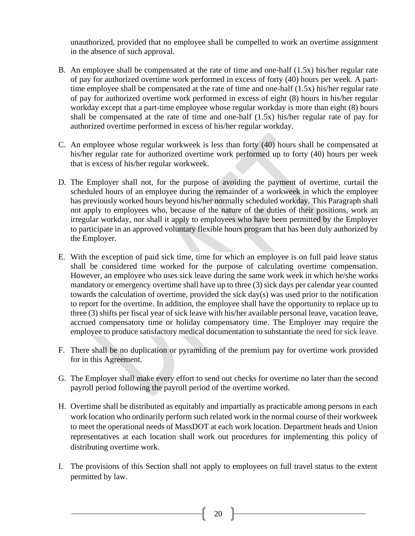unauthorized, provided that no employee shall be compelled to work an overtime assignment in the absence of such approval.

- B. An employee shall be compensated at the rate of time and one-half (1.5x) his/her regular rate of pay for authorized overtime work performed in excess of forty (40) hours per week. A parttime employee shall be compensated at the rate of time and one-half (1.5x) his/her regular rate of pay for authorized overtime work performed in excess of eight (8) hours in his/her regular workday except that a part-time employee whose regular workday is more than eight (8) hours shall be compensated at the rate of time and one-half (1.5x) his/her regular rate of pay for authorized overtime performed in excess of his/her regular workday.
- C. An employee whose regular workweek is less than forty (40) hours shall be compensated at his/her regular rate for authorized overtime work performed up to forty (40) hours per week that is excess of his/her regular workweek.
- D. The Employer shall not, for the purpose of avoiding the payment of overtime, curtail the scheduled hours of an employee during the remainder of a workweek in which the employee has previously worked hours beyond his/her normally scheduled workday. This Paragraph shall not apply to employees who, because of the nature of the duties of their positions, work an irregular workday, nor shall it apply to employees who have been permitted by the Employer to participate in an approved voluntary flexible hours program that has been duly authorized by the Employer.
- E. With the exception of paid sick time, time for which an employee is on full paid leave status shall be considered time worked for the purpose of calculating overtime compensation. However, an employee who uses sick leave during the same work week in which he/she works mandatory or emergency overtime shall have up to three (3) sick days per calendar year counted towards the calculation of overtime, provided the sick day(s) was used prior to the notification to report for the overtime. In addition, the employee shall have the opportunity to replace up to three (3) shifts per fiscal year of sick leave with his/her available personal leave, vacation leave, accrued compensatory time or holiday compensatory time. The Employer may require the employee to produce satisfactory medical documentation to substantiate the need for sick leave.
- F. There shall be no duplication or pyramiding of the premium pay for overtime work provided for in this Agreement.
- G. The Employer shall make every effort to send out checks for overtime no later than the second payroll period following the payroll period of the overtime worked.
- H. Overtime shall be distributed as equitably and impartially as practicable among persons in each work location who ordinarily perform such related work in the normal course of their workweek to meet the operational needs of MassDOT at each work location. Department heads and Union representatives at each location shall work out procedures for implementing this policy of distributing overtime work.
- I. The provisions of this Section shall not apply to employees on full travel status to the extent permitted by law.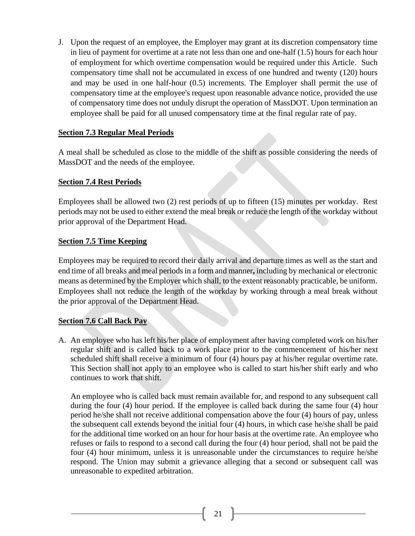J. Upon the request of an employee, the Employer may grant at its discretion compensatory time in lieu of payment for overtime at a rate not less than one and one-half (1.5) hours for each hour of employment for which overtime compensation would be required under this Article. Such compensatory time shall not be accumulated in excess of one hundred and twenty (120) hours and may be used in one half-hour (0.5) increments. The Employer shall permit the use of compensatory time at the employee's request upon reasonable advance notice, provided the use of compensatory time does not unduly disrupt the operation of MassDOT. Upon termination an employee shall be paid for all unused compensatory time at the final regular rate of pay.

#### <span id="page-20-0"></span>**Section 7.3 Regular Meal Periods**

A meal shall be scheduled as close to the middle of the shift as possible considering the needs of MassDOT and the needs of the employee.

## <span id="page-20-1"></span>**Section 7.4 Rest Periods**

Employees shall be allowed two (2) rest periods of up to fifteen (15) minutes per workday. Rest periods may not be used to either extend the meal break or reduce the length of the workday without prior approval of the Department Head.

## <span id="page-20-2"></span>**Section 7.5 Time Keeping**

Employees may be required to record their daily arrival and departure times as well as the start and end time of all breaks and meal periods in a form and manner**,** including by mechanical or electronic means as determined by the Employer which shall, to the extent reasonably practicable, be uniform. Employees shall not reduce the length of the workday by working through a meal break without the prior approval of the Department Head.

## <span id="page-20-3"></span>**Section 7.6 Call Back Pay**

A. An employee who has left his/her place of employment after having completed work on his/her regular shift and is called back to a work place prior to the commencement of his/her next scheduled shift shall receive a minimum of four (4) hours pay at his/her regular overtime rate. This Section shall not apply to an employee who is called to start his/her shift early and who continues to work that shift.

An employee who is called back must remain available for, and respond to any subsequent call during the four (4) hour period. If the employee is called back during the same four (4) hour period he/she shall not receive additional compensation above the four (4) hours of pay, unless the subsequent call extends beyond the initial four (4) hours, in which case he/she shall be paid for the additional time worked on an hour for hour basis at the overtime rate. An employee who refuses or fails to respond to a second call during the four (4) hour period, shall not be paid the four (4) hour minimum, unless it is unreasonable under the circumstances to require he/she respond. The Union may submit a grievance alleging that a second or subsequent call was unreasonable to expedited arbitration.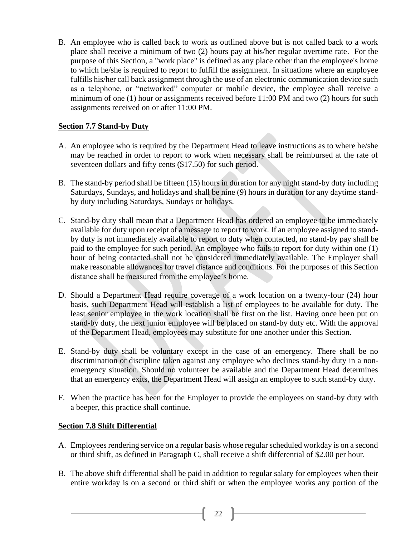B. An employee who is called back to work as outlined above but is not called back to a work place shall receive a minimum of two (2) hours pay at his/her regular overtime rate. For the purpose of this Section, a "work place" is defined as any place other than the employee's home to which he/she is required to report to fulfill the assignment. In situations where an employee fulfills his/her call back assignment through the use of an electronic communication device such as a telephone, or "networked" computer or mobile device, the employee shall receive a minimum of one (1) hour or assignments received before 11:00 PM and two (2) hours for such assignments received on or after 11:00 PM.

## <span id="page-21-0"></span>**Section 7.7 Stand-by Duty**

- A. An employee who is required by the Department Head to leave instructions as to where he/she may be reached in order to report to work when necessary shall be reimbursed at the rate of seventeen dollars and fifty cents (\$17.50) for such period.
- B. The stand-by period shall be fifteen (15) hours in duration for any night stand-by duty including Saturdays, Sundays, and holidays and shall be nine (9) hours in duration for any daytime standby duty including Saturdays, Sundays or holidays.
- C. Stand-by duty shall mean that a Department Head has ordered an employee to be immediately available for duty upon receipt of a message to report to work. If an employee assigned to standby duty is not immediately available to report to duty when contacted, no stand-by pay shall be paid to the employee for such period. An employee who fails to report for duty within one (1) hour of being contacted shall not be considered immediately available. The Employer shall make reasonable allowances for travel distance and conditions. For the purposes of this Section distance shall be measured from the employee's home.
- D. Should a Department Head require coverage of a work location on a twenty-four (24) hour basis, such Department Head will establish a list of employees to be available for duty. The least senior employee in the work location shall be first on the list. Having once been put on stand-by duty, the next junior employee will be placed on stand-by duty etc. With the approval of the Department Head, employees may substitute for one another under this Section.
- E. Stand-by duty shall be voluntary except in the case of an emergency. There shall be no discrimination or discipline taken against any employee who declines stand-by duty in a nonemergency situation. Should no volunteer be available and the Department Head determines that an emergency exits, the Department Head will assign an employee to such stand-by duty.
- F. When the practice has been for the Employer to provide the employees on stand-by duty with a beeper, this practice shall continue.

## <span id="page-21-1"></span>**Section 7.8 Shift Differential**

- A. Employees rendering service on a regular basis whose regular scheduled workday is on a second or third shift, as defined in Paragraph C, shall receive a shift differential of \$2.00 per hour.
- B. The above shift differential shall be paid in addition to regular salary for employees when their entire workday is on a second or third shift or when the employee works any portion of the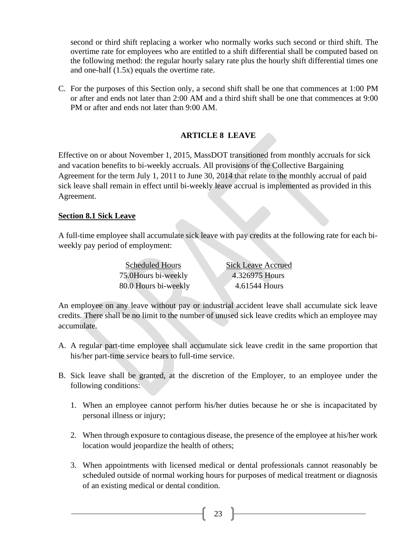second or third shift replacing a worker who normally works such second or third shift. The overtime rate for employees who are entitled to a shift differential shall be computed based on the following method: the regular hourly salary rate plus the hourly shift differential times one and one-half (1.5x) equals the overtime rate.

C. For the purposes of this Section only, a second shift shall be one that commences at 1:00 PM or after and ends not later than 2:00 AM and a third shift shall be one that commences at 9:00 PM or after and ends not later than 9:00 AM.

## **ARTICLE 8 LEAVE**

<span id="page-22-0"></span>Effective on or about November 1, 2015, MassDOT transitioned from monthly accruals for sick and vacation benefits to bi-weekly accruals. All provisions of the Collective Bargaining Agreement for the term July 1, 2011 to June 30, 2014 that relate to the monthly accrual of paid sick leave shall remain in effect until bi-weekly leave accrual is implemented as provided in this Agreement.

## <span id="page-22-1"></span>**Section 8.1 Sick Leave**

A full-time employee shall accumulate sick leave with pay credits at the following rate for each biweekly pay period of employment:

| <b>Scheduled Hours</b> | <b>Sick Leave Accrued</b> |
|------------------------|---------------------------|
| 75.0Hours bi-weekly    | 4.326975 Hours            |
| 80.0 Hours bi-weekly   | 4.61544 Hours             |

An employee on any leave without pay or industrial accident leave shall accumulate sick leave credits. There shall be no limit to the number of unused sick leave credits which an employee may accumulate.

- A. A regular part-time employee shall accumulate sick leave credit in the same proportion that his/her part-time service bears to full-time service.
- B. Sick leave shall be granted, at the discretion of the Employer, to an employee under the following conditions:
	- 1. When an employee cannot perform his/her duties because he or she is incapacitated by personal illness or injury;
	- 2. When through exposure to contagious disease, the presence of the employee at his/her work location would jeopardize the health of others;
	- 3. When appointments with licensed medical or dental professionals cannot reasonably be scheduled outside of normal working hours for purposes of medical treatment or diagnosis of an existing medical or dental condition.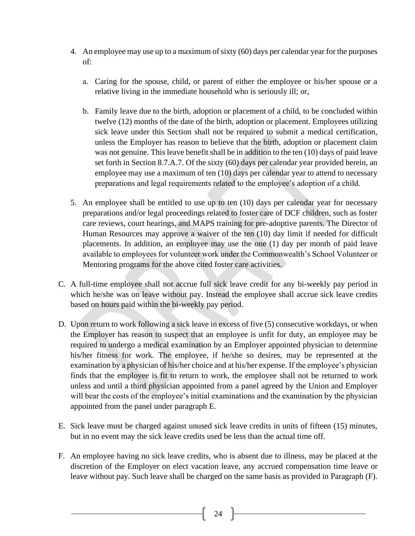- 4. An employee may use up to a maximum of sixty (60) days per calendar year for the purposes of:
	- a. Caring for the spouse, child, or parent of either the employee or his/her spouse or a relative living in the immediate household who is seriously ill; or,
	- b. Family leave due to the birth, adoption or placement of a child, to be concluded within twelve (12) months of the date of the birth, adoption or placement. Employees utilizing sick leave under this Section shall not be required to submit a medical certification, unless the Employer has reason to believe that the birth, adoption or placement claim was not genuine. This leave benefit shall be in addition to the ten (10) days of paid leave set forth in Section 8.7.A.7. Of the sixty (60) days per calendar year provided herein, an employee may use a maximum of ten (10) days per calendar year to attend to necessary preparations and legal requirements related to the employee's adoption of a child.
- 5. An employee shall be entitled to use up to ten (10) days per calendar year for necessary preparations and/or legal proceedings related to foster care of DCF children, such as foster care reviews, court hearings, and MAPS training for pre-adoptive parents. The Director of Human Resources may approve a waiver of the ten (10) day limit if needed for difficult placements. In addition, an employee may use the one (1) day per month of paid leave available to employees for volunteer work under the Commonwealth's School Volunteer or Mentoring programs for the above cited foster care activities.
- C. A full-time employee shall not accrue full sick leave credit for any bi-weekly pay period in which he/she was on leave without pay. Instead the employee shall accrue sick leave credits based on hours paid within the bi-weekly pay period.
- D. Upon return to work following a sick leave in excess of five (5) consecutive workdays, or when the Employer has reason to suspect that an employee is unfit for duty, an employee may be required to undergo a medical examination by an Employer appointed physician to determine his/her fitness for work. The employee, if he/she so desires, may be represented at the examination by a physician of his/her choice and at his/her expense. If the employee's physician finds that the employee is fit to return to work, the employee shall not be returned to work unless and until a third physician appointed from a panel agreed by the Union and Employer will bear the costs of the employee's initial examinations and the examination by the physician appointed from the panel under paragraph E.
- E. Sick leave must be charged against unused sick leave credits in units of fifteen (15) minutes, but in no event may the sick leave credits used be less than the actual time off.
- F. An employee having no sick leave credits, who is absent due to illness, may be placed at the discretion of the Employer on elect vacation leave, any accrued compensation time leave or leave without pay. Such leave shall be charged on the same basis as provided in Paragraph (F).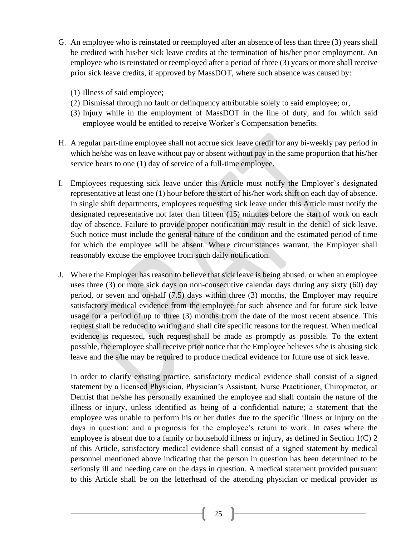- G. An employee who is reinstated or reemployed after an absence of less than three (3) years shall be credited with his/her sick leave credits at the termination of his/her prior employment. An employee who is reinstated or reemployed after a period of three (3) years or more shall receive prior sick leave credits, if approved by MassDOT, where such absence was caused by:
	- (1) Illness of said employee;
	- (2) Dismissal through no fault or delinquency attributable solely to said employee; or,
	- (3) Injury while in the employment of MassDOT in the line of duty, and for which said employee would be entitled to receive Worker's Compensation benefits.
- H. A regular part-time employee shall not accrue sick leave credit for any bi-weekly pay period in which he/she was on leave without pay or absent without pay in the same proportion that his/her service bears to one (1) day of service of a full-time employee.
- I. Employees requesting sick leave under this Article must notify the Employer's designated representative at least one (1) hour before the start of his/her work shift on each day of absence. In single shift departments, employees requesting sick leave under this Article must notify the designated representative not later than fifteen (15) minutes before the start of work on each day of absence. Failure to provide proper notification may result in the denial of sick leave. Such notice must include the general nature of the condition and the estimated period of time for which the employee will be absent. Where circumstances warrant, the Employer shall reasonably excuse the employee from such daily notification.
- J. Where the Employer has reason to believe that sick leave is being abused, or when an employee uses three (3) or more sick days on non-consecutive calendar days during any sixty (60) day period, or seven and on-half (7.5) days within three (3) months, the Employer may require satisfactory medical evidence from the employee for such absence and for future sick leave usage for a period of up to three (3) months from the date of the most recent absence. This request shall be reduced to writing and shall cite specific reasons for the request. When medical evidence is requested, such request shall be made as promptly as possible. To the extent possible, the employee shall receive prior notice that the Employee believes s/he is abusing sick leave and the s/he may be required to produce medical evidence for future use of sick leave.

In order to clarify existing practice, satisfactory medical evidence shall consist of a signed statement by a licensed Physician, Physician's Assistant, Nurse Practitioner, Chiropractor, or Dentist that he/she has personally examined the employee and shall contain the nature of the illness or injury, unless identified as being of a confidential nature; a statement that the employee was unable to perform his or her duties due to the specific illness or injury on the days in question; and a prognosis for the employee's return to work. In cases where the employee is absent due to a family or household illness or injury, as defined in Section 1(C) 2 of this Article, satisfactory medical evidence shall consist of a signed statement by medical personnel mentioned above indicating that the person in question has been determined to be seriously ill and needing care on the days in question. A medical statement provided pursuant to this Article shall be on the letterhead of the attending physician or medical provider as

25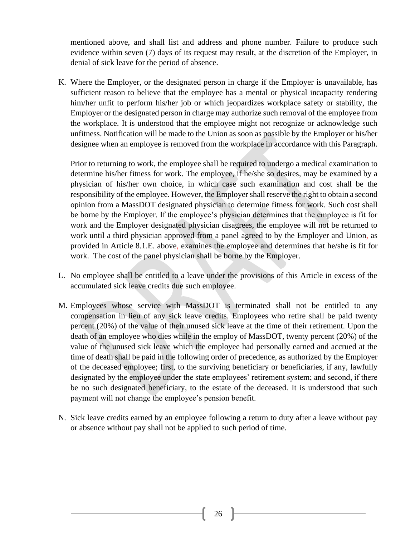mentioned above, and shall list and address and phone number. Failure to produce such evidence within seven (7) days of its request may result, at the discretion of the Employer, in denial of sick leave for the period of absence.

K. Where the Employer, or the designated person in charge if the Employer is unavailable, has sufficient reason to believe that the employee has a mental or physical incapacity rendering him/her unfit to perform his/her job or which jeopardizes workplace safety or stability, the Employer or the designated person in charge may authorize such removal of the employee from the workplace. It is understood that the employee might not recognize or acknowledge such unfitness. Notification will be made to the Union as soon as possible by the Employer or his/her designee when an employee is removed from the workplace in accordance with this Paragraph.

Prior to returning to work, the employee shall be required to undergo a medical examination to determine his/her fitness for work. The employee, if he/she so desires, may be examined by a physician of his/her own choice, in which case such examination and cost shall be the responsibility of the employee. However, the Employer shall reserve the right to obtain a second opinion from a MassDOT designated physician to determine fitness for work. Such cost shall be borne by the Employer. If the employee's physician determines that the employee is fit for work and the Employer designated physician disagrees, the employee will not be returned to work until a third physician approved from a panel agreed to by the Employer and Union, as provided in Article 8.1.E. above, examines the employee and determines that he/she is fit for work. The cost of the panel physician shall be borne by the Employer.

- L. No employee shall be entitled to a leave under the provisions of this Article in excess of the accumulated sick leave credits due such employee.
- M. Employees whose service with MassDOT is terminated shall not be entitled to any compensation in lieu of any sick leave credits. Employees who retire shall be paid twenty percent (20%) of the value of their unused sick leave at the time of their retirement. Upon the death of an employee who dies while in the employ of MassDOT, twenty percent (20%) of the value of the unused sick leave which the employee had personally earned and accrued at the time of death shall be paid in the following order of precedence, as authorized by the Employer of the deceased employee; first, to the surviving beneficiary or beneficiaries, if any, lawfully designated by the employee under the state employees' retirement system; and second, if there be no such designated beneficiary, to the estate of the deceased. It is understood that such payment will not change the employee's pension benefit.
- N. Sick leave credits earned by an employee following a return to duty after a leave without pay or absence without pay shall not be applied to such period of time.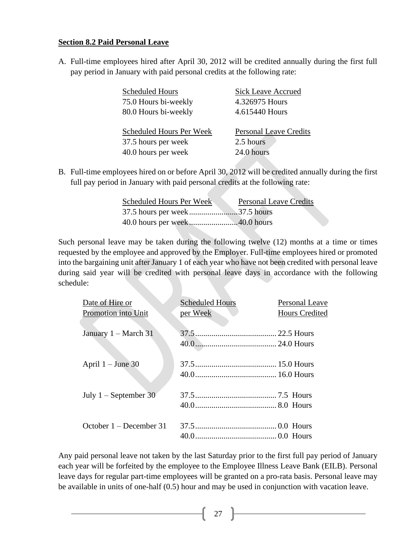#### <span id="page-26-0"></span>**Section 8.2 Paid Personal Leave**

A. Full-time employees hired after April 30, 2012 will be credited annually during the first full pay period in January with paid personal credits at the following rate:

| <b>Scheduled Hours</b>          | <b>Sick Leave Accrued</b>     |
|---------------------------------|-------------------------------|
| 75.0 Hours bi-weekly            | 4.326975 Hours                |
| 80.0 Hours bi-weekly            | 4.615440 Hours                |
|                                 |                               |
| <b>Scheduled Hours Per Week</b> | <b>Personal Leave Credits</b> |
| 37.5 hours per week             | 2.5 hours                     |
| 40.0 hours per week             | 24.0 hours                    |
|                                 |                               |

B. Full-time employees hired on or before April 30, 2012 will be credited annually during the first full pay period in January with paid personal credits at the following rate:

| Scheduled Hours Per Week | <b>Personal Leave Credits</b> |
|--------------------------|-------------------------------|
|                          |                               |
|                          |                               |

Such personal leave may be taken during the following twelve (12) months at a time or times requested by the employee and approved by the Employer. Full-time employees hired or promoted into the bargaining unit after January 1 of each year who have not been credited with personal leave during said year will be credited with personal leave days in accordance with the following schedule:

| Date of Hire or<br>Promotion into Unit | <b>Scheduled Hours</b><br>per Week | Personal Leave<br><b>Hours Credited</b> |
|----------------------------------------|------------------------------------|-----------------------------------------|
| January $1 - March 31$                 |                                    |                                         |
| April $1 -$ June 30                    |                                    |                                         |
| July $1 -$ September 30                |                                    |                                         |
| October $1 -$ December 31              |                                    |                                         |

Any paid personal leave not taken by the last Saturday prior to the first full pay period of January each year will be forfeited by the employee to the Employee Illness Leave Bank (EILB). Personal leave days for regular part-time employees will be granted on a pro-rata basis. Personal leave may be available in units of one-half (0.5) hour and may be used in conjunction with vacation leave.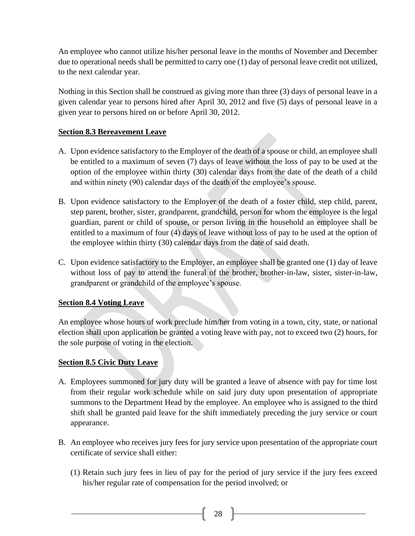An employee who cannot utilize his/her personal leave in the months of November and December due to operational needs shall be permitted to carry one (1) day of personal leave credit not utilized, to the next calendar year.

Nothing in this Section shall be construed as giving more than three (3) days of personal leave in a given calendar year to persons hired after April 30, 2012 and five (5) days of personal leave in a given year to persons hired on or before April 30, 2012.

## <span id="page-27-0"></span>**Section 8.3 Bereavement Leave**

- A. Upon evidence satisfactory to the Employer of the death of a spouse or child, an employee shall be entitled to a maximum of seven (7) days of leave without the loss of pay to be used at the option of the employee within thirty (30) calendar days from the date of the death of a child and within ninety (90) calendar days of the death of the employee's spouse.
- B. Upon evidence satisfactory to the Employer of the death of a foster child, step child, parent, step parent, brother, sister, grandparent, grandchild, person for whom the employee is the legal guardian, parent or child of spouse, or person living in the household an employee shall be entitled to a maximum of four (4) days of leave without loss of pay to be used at the option of the employee within thirty (30) calendar days from the date of said death.
- C. Upon evidence satisfactory to the Employer, an employee shall be granted one (1) day of leave without loss of pay to attend the funeral of the brother, brother-in-law, sister, sister-in-law, grandparent or grandchild of the employee's spouse.

## <span id="page-27-1"></span>**Section 8.4 Voting Leave**

An employee whose hours of work preclude him/her from voting in a town, city, state, or national election shall upon application be granted a voting leave with pay, not to exceed two (2) hours, for the sole purpose of voting in the election.

## <span id="page-27-2"></span>**Section 8.5 Civic Duty Leave**

- A. Employees summoned for jury duty will be granted a leave of absence with pay for time lost from their regular work schedule while on said jury duty upon presentation of appropriate summons to the Department Head by the employee. An employee who is assigned to the third shift shall be granted paid leave for the shift immediately preceding the jury service or court appearance.
- B. An employee who receives jury fees for jury service upon presentation of the appropriate court certificate of service shall either:
	- (1) Retain such jury fees in lieu of pay for the period of jury service if the jury fees exceed his/her regular rate of compensation for the period involved; or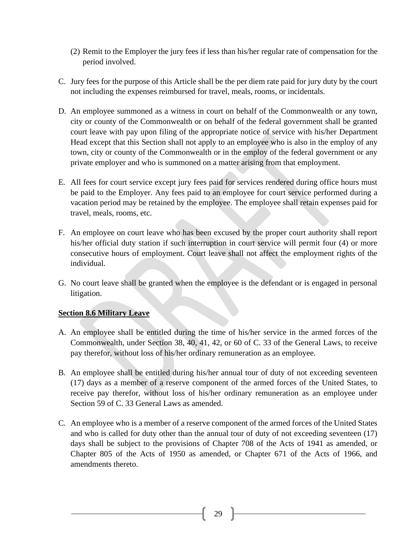- (2) Remit to the Employer the jury fees if less than his/her regular rate of compensation for the period involved.
- C. Jury fees for the purpose of this Article shall be the per diem rate paid for jury duty by the court not including the expenses reimbursed for travel, meals, rooms, or incidentals.
- D. An employee summoned as a witness in court on behalf of the Commonwealth or any town, city or county of the Commonwealth or on behalf of the federal government shall be granted court leave with pay upon filing of the appropriate notice of service with his/her Department Head except that this Section shall not apply to an employee who is also in the employ of any town, city or county of the Commonwealth or in the employ of the federal government or any private employer and who is summoned on a matter arising from that employment.
- E. All fees for court service except jury fees paid for services rendered during office hours must be paid to the Employer. Any fees paid to an employee for court service performed during a vacation period may be retained by the employee. The employee shall retain expenses paid for travel, meals, rooms, etc.
- F. An employee on court leave who has been excused by the proper court authority shall report his/her official duty station if such interruption in court service will permit four (4) or more consecutive hours of employment. Court leave shall not affect the employment rights of the individual.
- G. No court leave shall be granted when the employee is the defendant or is engaged in personal litigation.

## <span id="page-28-0"></span>**Section 8.6 Military Leave**

- A. An employee shall be entitled during the time of his/her service in the armed forces of the Commonwealth, under Section 38, 40, 41, 42, or 60 of C. 33 of the General Laws, to receive pay therefor, without loss of his/her ordinary remuneration as an employee.
- B. An employee shall be entitled during his/her annual tour of duty of not exceeding seventeen (17) days as a member of a reserve component of the armed forces of the United States, to receive pay therefor, without loss of his/her ordinary remuneration as an employee under Section 59 of C. 33 General Laws as amended.
- C. An employee who is a member of a reserve component of the armed forces of the United States and who is called for duty other than the annual tour of duty of not exceeding seventeen (17) days shall be subject to the provisions of Chapter 708 of the Acts of 1941 as amended, or Chapter 805 of the Acts of 1950 as amended, or Chapter 671 of the Acts of 1966, and amendments thereto.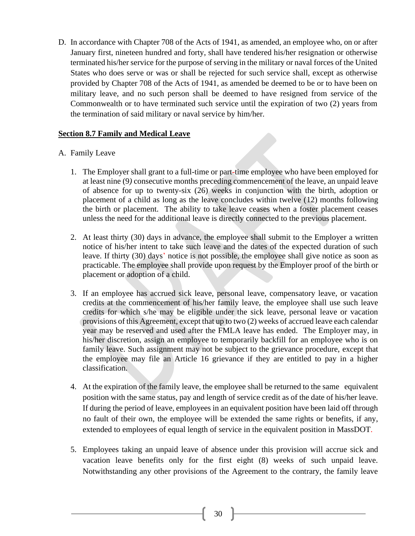D. In accordance with Chapter 708 of the Acts of 1941, as amended, an employee who, on or after January first, nineteen hundred and forty, shall have tendered his/her resignation or otherwise terminated his/her service for the purpose of serving in the military or naval forces of the United States who does serve or was or shall be rejected for such service shall, except as otherwise provided by Chapter 708 of the Acts of 1941, as amended be deemed to be or to have been on military leave, and no such person shall be deemed to have resigned from service of the Commonwealth or to have terminated such service until the expiration of two (2) years from the termination of said military or naval service by him/her.

## <span id="page-29-0"></span>**Section 8.7 Family and Medical Leave**

## A. Family Leave

- 1. The Employer shall grant to a full-time or part-time employee who have been employed for at least nine (9*)* consecutive months preceding commencement of the leave, an unpaid leave of absence for up to twenty-six (26) weeks in conjunction with the birth, adoption or placement of a child as long as the leave concludes within twelve (12) months following the birth or placement. The ability to take leave ceases when a foster placement ceases unless the need for the additional leave is directly connected to the previous placement.
- 2. At least thirty (30) days in advance, the employee shall submit to the Employer a written notice of his/her intent to take such leave and the dates of the expected duration of such leave. If thirty (30) days' notice is not possible, the employee shall give notice as soon as practicable. The employee shall provide upon request by the Employer proof of the birth or placement or adoption of a child.
- 3. If an employee has accrued sick leave, personal leave, compensatory leave, or vacation credits at the commencement of his/her family leave, the employee shall use such leave credits for which s/he may be eligible under the sick leave, personal leave or vacation provisions of this Agreement, except that up to two (2) weeks of accrued leave each calendar year may be reserved and used after the FMLA leave has ended. The Employer may, in his/her discretion, assign an employee to temporarily backfill for an employee who is on family leave. Such assignment may not be subject to the grievance procedure, except that the employee may file an Article 16 grievance if they are entitled to pay in a higher classification.
- 4. At the expiration of the family leave, the employee shall be returned to the same equivalent position with the same status, pay and length of service credit as of the date of his/her leave. If during the period of leave, employees in an equivalent position have been laid off through no fault of their own, the employee will be extended the same rights or benefits, if any, extended to employees of equal length of service in the equivalent position in MassDOT.
- 5. Employees taking an unpaid leave of absence under this provision will accrue sick and vacation leave benefits only for the first eight (8) weeks of such unpaid leave. Notwithstanding any other provisions of the Agreement to the contrary, the family leave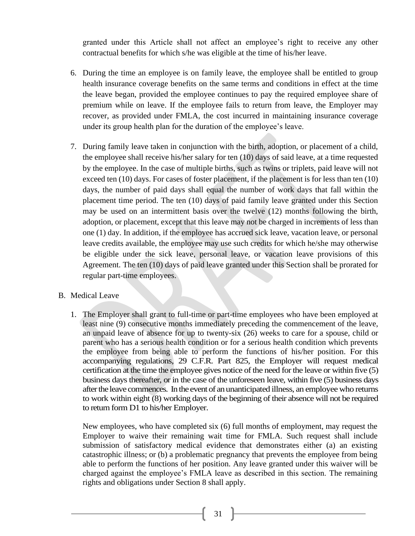granted under this Article shall not affect an employee's right to receive any other contractual benefits for which s/he was eligible at the time of his/her leave.

- 6. During the time an employee is on family leave, the employee shall be entitled to group health insurance coverage benefits on the same terms and conditions in effect at the time the leave began, provided the employee continues to pay the required employee share of premium while on leave. If the employee fails to return from leave, the Employer may recover, as provided under FMLA, the cost incurred in maintaining insurance coverage under its group health plan for the duration of the employee's leave.
- 7. During family leave taken in conjunction with the birth, adoption, or placement of a child, the employee shall receive his/her salary for ten (10) days of said leave, at a time requested by the employee. In the case of multiple births, such as twins or triplets, paid leave will not exceed ten (10) days. For cases of foster placement, if the placement is for less than ten (10) days, the number of paid days shall equal the number of work days that fall within the placement time period. The ten (10) days of paid family leave granted under this Section may be used on an intermittent basis over the twelve (12) months following the birth, adoption, or placement, except that this leave may not be charged in increments of less than one (1) day. In addition, if the employee has accrued sick leave, vacation leave, or personal leave credits available, the employee may use such credits for which he/she may otherwise be eligible under the sick leave, personal leave, or vacation leave provisions of this Agreement. The ten (10) days of paid leave granted under this Section shall be prorated for regular part-time employees.

#### B. Medical Leave

1. The Employer shall grant to full-time or part-time employees who have been employed at least nine (9) consecutive months immediately preceding the commencement of the leave, an unpaid leave of absence for up to twenty-six (26) weeks to care for a spouse, child or parent who has a serious health condition or for a serious health condition which prevents the employee from being able to perform the functions of his/her position. For this accompanying regulations, 29 C.F.R. Part 825, the Employer will request medical certification at the time the employee gives notice of the need for the leave or within five (5) business days thereafter, or in the case of the unforeseen leave, within five (5) business days after the leave commences. In the event of an unanticipated illness, an employee who returns to work within eight (8) working days of the beginning of their absence will not be required to return form D1 to his/her Employer.

New employees, who have completed six (6) full months of employment, may request the Employer to waive their remaining wait time for FMLA. Such request shall include submission of satisfactory medical evidence that demonstrates either (a) an existing catastrophic illness; or (b) a problematic pregnancy that prevents the employee from being able to perform the functions of her position. Any leave granted under this waiver will be charged against the employee's FMLA leave as described in this section. The remaining rights and obligations under Section 8 shall apply.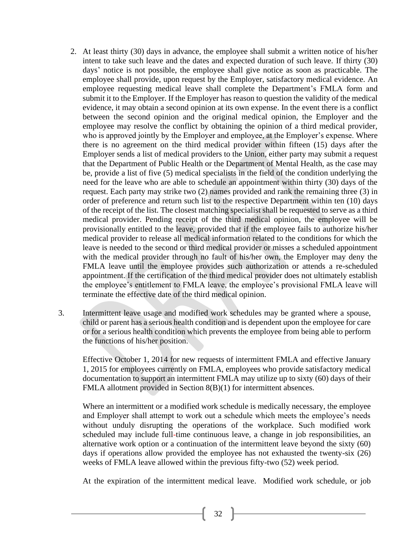- 2. At least thirty (30) days in advance, the employee shall submit a written notice of his/her intent to take such leave and the dates and expected duration of such leave. If thirty (30) days' notice is not possible, the employee shall give notice as soon as practicable. The employee shall provide, upon request by the Employer, satisfactory medical evidence. An employee requesting medical leave shall complete the Department's FMLA form and submit it to the Employer. If the Employer has reason to question the validity of the medical evidence, it may obtain a second opinion at its own expense. In the event there is a conflict between the second opinion and the original medical opinion, the Employer and the employee may resolve the conflict by obtaining the opinion of a third medical provider, who is approved jointly by the Employer and employee, at the Employer's expense. Where there is no agreement on the third medical provider within fifteen (15) days after the Employer sends a list of medical providers to the Union, either party may submit a request that the Department of Public Health or the Department of Mental Health, as the case may be, provide a list of five (5) medical specialists in the field of the condition underlying the need for the leave who are able to schedule an appointment within thirty (30) days of the request. Each party may strike two (2) names provided and rank the remaining three (3) in order of preference and return such list to the respective Department within ten (10) days of the receipt of the list. The closest matching specialist shall be requested to serve as a third medical provider. Pending receipt of the third medical opinion, the employee will be provisionally entitled to the leave, provided that if the employee fails to authorize his/her medical provider to release all medical information related to the conditions for which the leave is needed to the second or third medical provider or misses a scheduled appointment with the medical provider through no fault of his/her own, the Employer may deny the FMLA leave until the employee provides such authorization or attends a re-scheduled appointment. If the certification of the third medical provider does not ultimately establish the employee's entitlement to FMLA leave, the employee's provisional FMLA leave will terminate the effective date of the third medical opinion.
- 3. Intermittent leave usage and modified work schedules may be granted where a spouse, child or parent has a serious health condition and is dependent upon the employee for care or for a serious health condition which prevents the employee from being able to perform the functions of his/her position.

Effective October 1, 2014 for new requests of intermittent FMLA and effective January 1, 2015 for employees currently on FMLA, employees who provide satisfactory medical documentation to support an intermittent FMLA may utilize up to sixty (60) days of their FMLA allotment provided in Section 8(B)(1) for intermittent absences.

Where an intermittent or a modified work schedule is medically necessary, the employee and Employer shall attempt to work out a schedule which meets the employee's needs without unduly disrupting the operations of the workplace. Such modified work scheduled may include full-time continuous leave, a change in job responsibilities, an alternative work option or a continuation of the intermittent leave beyond the sixty (60) days if operations allow provided the employee has not exhausted the twenty-six (26) weeks of FMLA leave allowed within the previous fifty-two (52) week period.

At the expiration of the intermittent medical leave. Modified work schedule, or job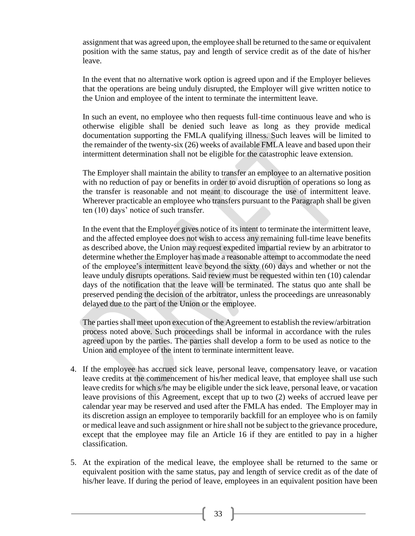assignment that was agreed upon, the employee shall be returned to the same or equivalent position with the same status, pay and length of service credit as of the date of his/her leave.

In the event that no alternative work option is agreed upon and if the Employer believes that the operations are being unduly disrupted, the Employer will give written notice to the Union and employee of the intent to terminate the intermittent leave.

In such an event, no employee who then requests full-time continuous leave and who is otherwise eligible shall be denied such leave as long as they provide medical documentation supporting the FMLA qualifying illness. Such leaves will be limited to the remainder of the twenty-six (26) weeks of available FMLA leave and based upon their intermittent determination shall not be eligible for the catastrophic leave extension.

The Employer shall maintain the ability to transfer an employee to an alternative position with no reduction of pay or benefits in order to avoid disruption of operations so long as the transfer is reasonable and not meant to discourage the use of intermittent leave. Wherever practicable an employee who transfers pursuant to the Paragraph shall be given ten (10) days' notice of such transfer.

In the event that the Employer gives notice of its intent to terminate the intermittent leave, and the affected employee does not wish to access any remaining full-time leave benefits as described above, the Union may request expedited impartial review by an arbitrator to determine whether the Employer has made a reasonable attempt to accommodate the need of the employee's intermittent leave beyond the sixty (60) days and whether or not the leave unduly disrupts operations. Said review must be requested within ten (10) calendar days of the notification that the leave will be terminated. The status quo ante shall be preserved pending the decision of the arbitrator, unless the proceedings are unreasonably delayed due to the part of the Union or the employee.

The parties shall meet upon execution of the Agreement to establish the review/arbitration process noted above. Such proceedings shall be informal in accordance with the rules agreed upon by the parties. The parties shall develop a form to be used as notice to the Union and employee of the intent to terminate intermittent leave.

- 4. If the employee has accrued sick leave, personal leave, compensatory leave, or vacation leave credits at the commencement of his/her medical leave, that employee shall use such leave credits for which s/he may be eligible under the sick leave, personal leave, or vacation leave provisions of this Agreement, except that up to two (2) weeks of accrued leave per calendar year may be reserved and used after the FMLA has ended. The Employer may in its discretion assign an employee to temporarily backfill for an employee who is on family or medical leave and such assignment or hire shall not be subject to the grievance procedure, except that the employee may file an Article 16 if they are entitled to pay in a higher classification.
- 5. At the expiration of the medical leave, the employee shall be returned to the same or equivalent position with the same status, pay and length of service credit as of the date of his/her leave. If during the period of leave, employees in an equivalent position have been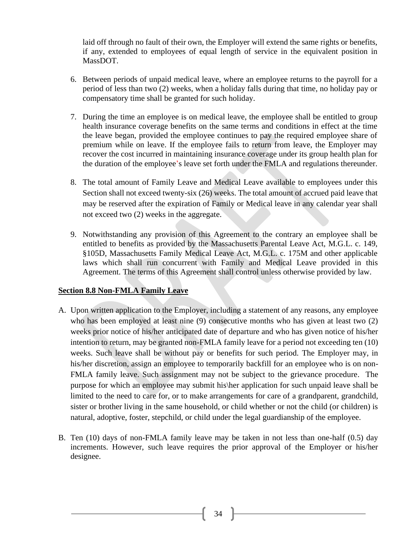laid off through no fault of their own, the Employer will extend the same rights or benefits, if any, extended to employees of equal length of service in the equivalent position in MassDOT.

- 6. Between periods of unpaid medical leave, where an employee returns to the payroll for a period of less than two (2) weeks, when a holiday falls during that time, no holiday pay or compensatory time shall be granted for such holiday.
- 7. During the time an employee is on medical leave, the employee shall be entitled to group health insurance coverage benefits on the same terms and conditions in effect at the time the leave began, provided the employee continues to pay the required employee share of premium while on leave. If the employee fails to return from leave, the Employer may recover the cost incurred in maintaining insurance coverage under its group health plan for the duration of the employee's leave set forth under the FMLA and regulations thereunder.
- 8. The total amount of Family Leave and Medical Leave available to employees under this Section shall not exceed twenty-six (26) weeks. The total amount of accrued paid leave that may be reserved after the expiration of Family or Medical leave in any calendar year shall not exceed two (2) weeks in the aggregate.
- 9. Notwithstanding any provision of this Agreement to the contrary an employee shall be entitled to benefits as provided by the Massachusetts Parental Leave Act, M.G.L. c. 149, §105D, Massachusetts Family Medical Leave Act, M.G.L. c. 175M and other applicable laws which shall run concurrent with Family and Medical Leave provided in this Agreement. The terms of this Agreement shall control unless otherwise provided by law.

#### <span id="page-33-0"></span>**Section 8.8 Non-FMLA Family Leave**

- A. Upon written application to the Employer, including a statement of any reasons, any employee who has been employed at least nine (9) consecutive months who has given at least two (2) weeks prior notice of his/her anticipated date of departure and who has given notice of his/her intention to return, may be granted non-FMLA family leave for a period not exceeding ten (10) weeks. Such leave shall be without pay or benefits for such period. The Employer may, in his/her discretion, assign an employee to temporarily backfill for an employee who is on non-FMLA family leave. Such assignment may not be subject to the grievance procedure. The purpose for which an employee may submit his\her application for such unpaid leave shall be limited to the need to care for, or to make arrangements for care of a grandparent, grandchild, sister or brother living in the same household, or child whether or not the child (or children) is natural, adoptive, foster, stepchild, or child under the legal guardianship of the employee.
- B. Ten (10) days of non-FMLA family leave may be taken in not less than one-half (0.5) day increments. However, such leave requires the prior approval of the Employer or his/her designee.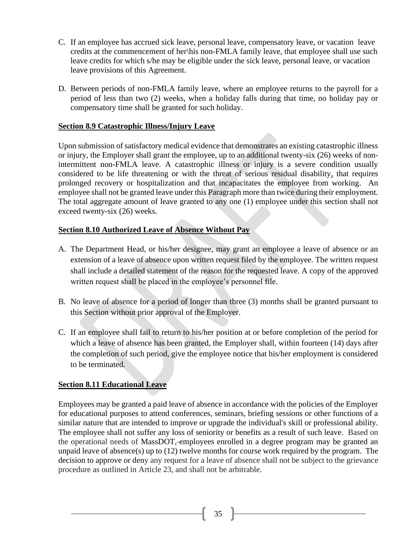- C. If an employee has accrued sick leave, personal leave, compensatory leave, or vacation leave credits at the commencement of her\his non-FMLA family leave, that employee shall use such leave credits for which s/he may be eligible under the sick leave, personal leave, or vacation leave provisions of this Agreement.
- D. Between periods of non-FMLA family leave, where an employee returns to the payroll for a period of less than two (2) weeks, when a holiday falls during that time, no holiday pay or compensatory time shall be granted for such holiday.

## <span id="page-34-0"></span>**Section 8.9 Catastrophic Illness/Injury Leave**

Upon submission of satisfactory medical evidence that demonstrates an existing catastrophic illness or injury, the Employer shall grant the employee, up to an additional twenty-six (26) weeks of nonintermittent non-FMLA leave. A catastrophic illness or injury is a severe condition usually considered to be life threatening or with the threat of serious residual disability, that requires prolonged recovery or hospitalization and that incapacitates the employee from working. An employee shall not be granted leave under this Paragraph more than twice during their employment. The total aggregate amount of leave granted to any one (1) employee under this section shall not exceed twenty-six (26) weeks.

## <span id="page-34-1"></span>**Section 8.10 Authorized Leave of Absence Without Pay**

- A. The Department Head, or his/her designee, may grant an employee a leave of absence or an extension of a leave of absence upon written request filed by the employee. The written request shall include a detailed statement of the reason for the requested leave. A copy of the approved written request shall be placed in the employee's personnel file.
- B. No leave of absence for a period of longer than three (3) months shall be granted pursuant to this Section without prior approval of the Employer.
- C. If an employee shall fail to return to his/her position at or before completion of the period for which a leave of absence has been granted, the Employer shall, within fourteen (14) days after the completion of such period, give the employee notice that his/her employment is considered to be terminated.

## <span id="page-34-2"></span>**Section 8.11 Educational Leave**

Employees may be granted a paid leave of absence in accordance with the policies of the Employer for educational purposes to attend conferences, seminars, briefing sessions or other functions of a similar nature that are intended to improve or upgrade the individual's skill or professional ability. The employee shall not suffer any loss of seniority or benefits as a result of such leave. Based on the operational needs of MassDOT, employees enrolled in a degree program may be granted an unpaid leave of absence(s) up to (12) twelve months for course work required by the program. The decision to approve or deny any request for a leave of absence shall not be subject to the grievance procedure as outlined in Article 23, and shall not be arbitrable.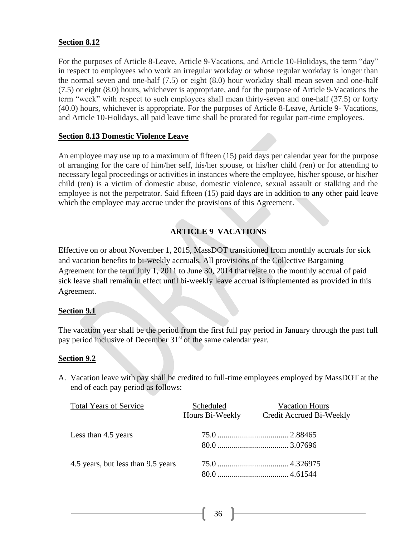#### <span id="page-35-0"></span>**Section 8.12**

For the purposes of Article 8-Leave, Article 9-Vacations, and Article 10-Holidays, the term "day" in respect to employees who work an irregular workday or whose regular workday is longer than the normal seven and one-half (7.5) or eight (8.0) hour workday shall mean seven and one-half (7.5) or eight (8.0) hours, whichever is appropriate, and for the purpose of Article 9-Vacations the term "week" with respect to such employees shall mean thirty-seven and one-half (37.5) or forty (40.0) hours, whichever is appropriate. For the purposes of Article 8-Leave, Article 9- Vacations, and Article 10-Holidays, all paid leave time shall be prorated for regular part-time employees.

## <span id="page-35-1"></span>**Section 8.13 Domestic Violence Leave**

An employee may use up to a maximum of fifteen (15) paid days per calendar year for the purpose of arranging for the care of him/her self, his/her spouse, or his/her child (ren) or for attending to necessary legal proceedings or activities in instances where the employee, his/her spouse, or his/her child (ren) is a victim of domestic abuse, domestic violence, sexual assault or stalking and the employee is not the perpetrator. Said fifteen (15) paid days are in addition to any other paid leave which the employee may accrue under the provisions of this Agreement.

## **ARTICLE 9 VACATIONS**

<span id="page-35-2"></span>Effective on or about November 1, 2015, MassDOT transitioned from monthly accruals for sick and vacation benefits to bi-weekly accruals. All provisions of the Collective Bargaining Agreement for the term July 1, 2011 to June 30, 2014 that relate to the monthly accrual of paid sick leave shall remain in effect until bi-weekly leave accrual is implemented as provided in this Agreement.

## <span id="page-35-3"></span>**Section 9.1**

The vacation year shall be the period from the first full pay period in January through the past full pay period inclusive of December  $31<sup>st</sup>$  of the same calendar year.

#### <span id="page-35-4"></span>**Section 9.2**

A. Vacation leave with pay shall be credited to full-time employees employed by MassDOT at the end of each pay period as follows:

| <b>Total Years of Service</b>      | Scheduled       | <b>Vacation Hours</b>           |
|------------------------------------|-----------------|---------------------------------|
|                                    | Hours Bi-Weekly | <b>Credit Accrued Bi-Weekly</b> |
|                                    |                 |                                 |
| Less than 4.5 years                |                 |                                 |
|                                    |                 |                                 |
| 4.5 years, but less than 9.5 years |                 |                                 |
|                                    |                 |                                 |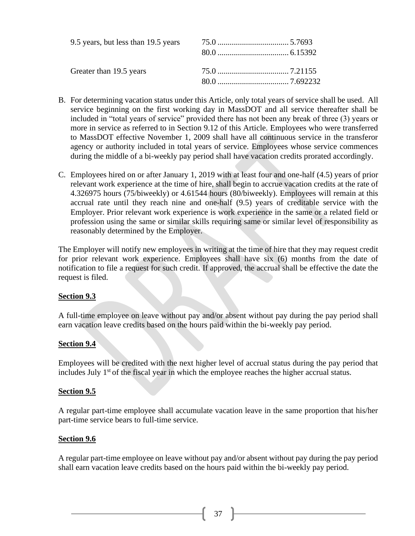| Greater than 19.5 years |  |  |
|-------------------------|--|--|
|                         |  |  |

- B. For determining vacation status under this Article, only total years of service shall be used. All service beginning on the first working day in MassDOT and all service thereafter shall be included in "total years of service" provided there has not been any break of three (3) years or more in service as referred to in Section 9.12 of this Article. Employees who were transferred to MassDOT effective November 1, 2009 shall have all continuous service in the transferor agency or authority included in total years of service. Employees whose service commences during the middle of a bi-weekly pay period shall have vacation credits prorated accordingly.
- C. Employees hired on or after January 1, 2019 with at least four and one-half (4.5) years of prior relevant work experience at the time of hire, shall begin to accrue vacation credits at the rate of 4.326975 hours (75/biweekly) or 4.61544 hours (80/biweekly). Employees will remain at this accrual rate until they reach nine and one-half (9.5) years of creditable service with the Employer. Prior relevant work experience is work experience in the same or a related field or profession using the same or similar skills requiring same or similar level of responsibility as reasonably determined by the Employer.

The Employer will notify new employees in writing at the time of hire that they may request credit for prior relevant work experience. Employees shall have six (6) months from the date of notification to file a request for such credit. If approved, the accrual shall be effective the date the request is filed.

#### **Section 9.3**

A full-time employee on leave without pay and/or absent without pay during the pay period shall earn vacation leave credits based on the hours paid within the bi-weekly pay period.

## **Section 9.4**

Employees will be credited with the next higher level of accrual status during the pay period that includes July 1<sup>st</sup> of the fiscal year in which the employee reaches the higher accrual status.

#### **Section 9.5**

A regular part-time employee shall accumulate vacation leave in the same proportion that his/her part-time service bears to full-time service.

#### **Section 9.6**

A regular part-time employee on leave without pay and/or absent without pay during the pay period shall earn vacation leave credits based on the hours paid within the bi-weekly pay period.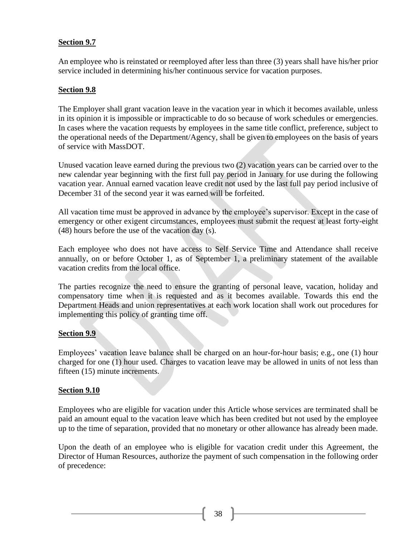## **Section 9.7**

An employee who is reinstated or reemployed after less than three (3) years shall have his/her prior service included in determining his/her continuous service for vacation purposes.

## **Section 9.8**

The Employer shall grant vacation leave in the vacation year in which it becomes available, unless in its opinion it is impossible or impracticable to do so because of work schedules or emergencies. In cases where the vacation requests by employees in the same title conflict, preference, subject to the operational needs of the Department/Agency, shall be given to employees on the basis of years of service with MassDOT.

Unused vacation leave earned during the previous two (2) vacation years can be carried over to the new calendar year beginning with the first full pay period in January for use during the following vacation year. Annual earned vacation leave credit not used by the last full pay period inclusive of December 31 of the second year it was earned will be forfeited.

All vacation time must be approved in advance by the employee's supervisor. Except in the case of emergency or other exigent circumstances, employees must submit the request at least forty-eight (48) hours before the use of the vacation day (s).

Each employee who does not have access to Self Service Time and Attendance shall receive annually, on or before October 1, as of September 1, a preliminary statement of the available vacation credits from the local office.

The parties recognize the need to ensure the granting of personal leave, vacation, holiday and compensatory time when it is requested and as it becomes available. Towards this end the Department Heads and union representatives at each work location shall work out procedures for implementing this policy of granting time off.

## **Section 9.9**

Employees' vacation leave balance shall be charged on an hour-for-hour basis; e.g., one (1) hour charged for one (1) hour used. Charges to vacation leave may be allowed in units of not less than fifteen (15) minute increments.

#### **Section 9.10**

Employees who are eligible for vacation under this Article whose services are terminated shall be paid an amount equal to the vacation leave which has been credited but not used by the employee up to the time of separation, provided that no monetary or other allowance has already been made.

Upon the death of an employee who is eligible for vacation credit under this Agreement, the Director of Human Resources, authorize the payment of such compensation in the following order of precedence: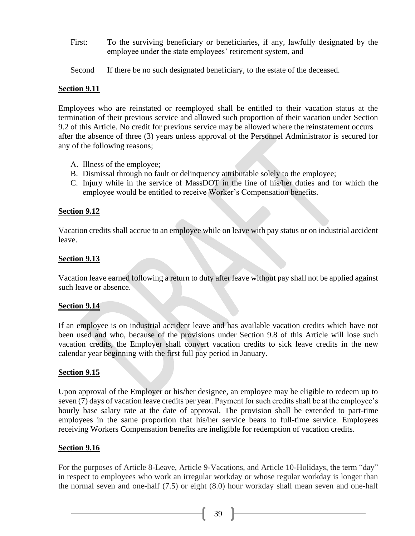- First: To the surviving beneficiary or beneficiaries, if any, lawfully designated by the employee under the state employees' retirement system, and
- Second If there be no such designated beneficiary, to the estate of the deceased.

## **Section 9.11**

Employees who are reinstated or reemployed shall be entitled to their vacation status at the termination of their previous service and allowed such proportion of their vacation under Section 9.2 of this Article. No credit for previous service may be allowed where the reinstatement occurs after the absence of three (3) years unless approval of the Personnel Administrator is secured for any of the following reasons;

- A. Illness of the employee;
- B. Dismissal through no fault or delinquency attributable solely to the employee;
- C. Injury while in the service of MassDOT in the line of his/her duties and for which the employee would be entitled to receive Worker's Compensation benefits.

## **Section 9.12**

Vacation credits shall accrue to an employee while on leave with pay status or on industrial accident leave.

## **Section 9.13**

Vacation leave earned following a return to duty after leave without pay shall not be applied against such leave or absence.

#### **Section 9.14**

If an employee is on industrial accident leave and has available vacation credits which have not been used and who, because of the provisions under Section 9.8 of this Article will lose such vacation credits, the Employer shall convert vacation credits to sick leave credits in the new calendar year beginning with the first full pay period in January.

#### **Section 9.15**

Upon approval of the Employer or his/her designee, an employee may be eligible to redeem up to seven (7) days of vacation leave credits per year. Payment for such credits shall be at the employee's hourly base salary rate at the date of approval. The provision shall be extended to part-time employees in the same proportion that his/her service bears to full-time service. Employees receiving Workers Compensation benefits are ineligible for redemption of vacation credits.

#### **Section 9.16**

For the purposes of Article 8-Leave, Article 9-Vacations, and Article 10-Holidays, the term "day" in respect to employees who work an irregular workday or whose regular workday is longer than the normal seven and one-half (7.5) or eight (8.0) hour workday shall mean seven and one-half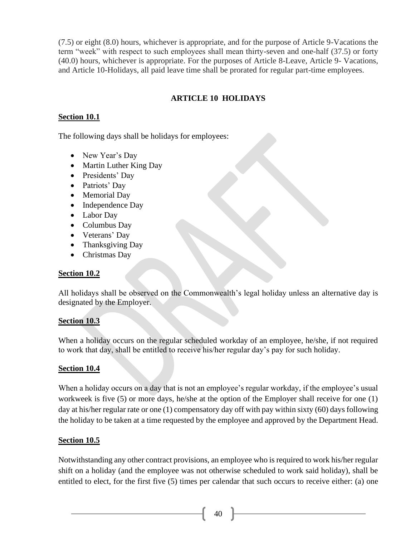(7.5) or eight (8.0) hours, whichever is appropriate, and for the purpose of Article 9-Vacations the term "week" with respect to such employees shall mean thirty-seven and one-half (37.5) or forty (40.0) hours, whichever is appropriate. For the purposes of Article 8-Leave, Article 9- Vacations, and Article 10-Holidays, all paid leave time shall be prorated for regular part-time employees.

# **ARTICLE 10 HOLIDAYS**

## **Section 10.1**

The following days shall be holidays for employees:

- New Year's Day
- Martin Luther King Day
- Presidents' Day
- Patriots' Day
- Memorial Day
- Independence Day
- Labor Day
- Columbus Day
- Veterans' Day
- Thanksgiving Day
- Christmas Day

## **Section 10.2**

All holidays shall be observed on the Commonwealth's legal holiday unless an alternative day is designated by the Employer.

## **Section 10.3**

When a holiday occurs on the regular scheduled workday of an employee, he/she, if not required to work that day, shall be entitled to receive his/her regular day's pay for such holiday.

## **Section 10.4**

When a holiday occurs on a day that is not an employee's regular workday, if the employee's usual workweek is five (5) or more days, he/she at the option of the Employer shall receive for one (1) day at his/her regular rate or one (1) compensatory day off with pay within sixty (60) days following the holiday to be taken at a time requested by the employee and approved by the Department Head.

## **Section 10.5**

Notwithstanding any other contract provisions, an employee who is required to work his/her regular shift on a holiday (and the employee was not otherwise scheduled to work said holiday), shall be entitled to elect, for the first five (5) times per calendar that such occurs to receive either: (a) one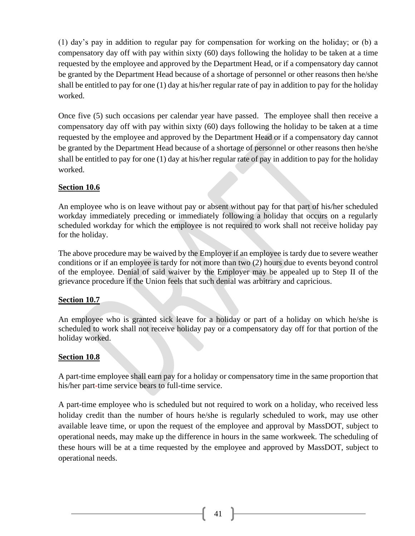(1) day's pay in addition to regular pay for compensation for working on the holiday; or (b) a compensatory day off with pay within sixty (60) days following the holiday to be taken at a time requested by the employee and approved by the Department Head, or if a compensatory day cannot be granted by the Department Head because of a shortage of personnel or other reasons then he/she shall be entitled to pay for one (1) day at his/her regular rate of pay in addition to pay for the holiday worked.

Once five (5) such occasions per calendar year have passed. The employee shall then receive a compensatory day off with pay within sixty (60) days following the holiday to be taken at a time requested by the employee and approved by the Department Head or if a compensatory day cannot be granted by the Department Head because of a shortage of personnel or other reasons then he/she shall be entitled to pay for one (1) day at his/her regular rate of pay in addition to pay for the holiday worked.

#### **Section 10.6**

An employee who is on leave without pay or absent without pay for that part of his/her scheduled workday immediately preceding or immediately following a holiday that occurs on a regularly scheduled workday for which the employee is not required to work shall not receive holiday pay for the holiday.

The above procedure may be waived by the Employer if an employee is tardy due to severe weather conditions or if an employee is tardy for not more than two (2) hours due to events beyond control of the employee. Denial of said waiver by the Employer may be appealed up to Step II of the grievance procedure if the Union feels that such denial was arbitrary and capricious.

#### **Section 10.7**

An employee who is granted sick leave for a holiday or part of a holiday on which he/she is scheduled to work shall not receive holiday pay or a compensatory day off for that portion of the holiday worked.

#### **Section 10.8**

A part-time employee shall earn pay for a holiday or compensatory time in the same proportion that his/her part-time service bears to full-time service.

A part-time employee who is scheduled but not required to work on a holiday, who received less holiday credit than the number of hours he/she is regularly scheduled to work, may use other available leave time, or upon the request of the employee and approval by MassDOT, subject to operational needs, may make up the difference in hours in the same workweek. The scheduling of these hours will be at a time requested by the employee and approved by MassDOT, subject to operational needs.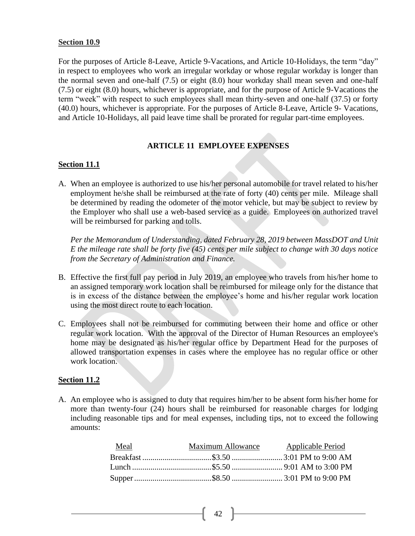#### **Section 10.9**

For the purposes of Article 8-Leave, Article 9-Vacations, and Article 10-Holidays, the term "day" in respect to employees who work an irregular workday or whose regular workday is longer than the normal seven and one-half (7.5) or eight (8.0) hour workday shall mean seven and one-half (7.5) or eight (8.0) hours, whichever is appropriate, and for the purpose of Article 9-Vacations the term "week" with respect to such employees shall mean thirty-seven and one-half (37.5) or forty (40.0) hours, whichever is appropriate. For the purposes of Article 8-Leave, Article 9- Vacations, and Article 10-Holidays, all paid leave time shall be prorated for regular part-time employees.

# **ARTICLE 11 EMPLOYEE EXPENSES**

## **Section 11.1**

A. When an employee is authorized to use his/her personal automobile for travel related to his/her employment he/she shall be reimbursed at the rate of forty (40) cents per mile. Mileage shall be determined by reading the odometer of the motor vehicle, but may be subject to review by the Employer who shall use a web-based service as a guide. Employees on authorized travel will be reimbursed for parking and tolls.

*Per the Memorandum of Understanding, dated February 28, 2019 between MassDOT and Unit E the mileage rate shall be forty five (45) cents per mile subject to change with 30 days notice from the Secretary of Administration and Finance.*

- B. Effective the first full pay period in July 2019, an employee who travels from his/her home to an assigned temporary work location shall be reimbursed for mileage only for the distance that is in excess of the distance between the employee's home and his/her regular work location using the most direct route to each location.
- C. Employees shall not be reimbursed for commuting between their home and office or other regular work location. With the approval of the Director of Human Resources an employee's home may be designated as his/her regular office by Department Head for the purposes of allowed transportation expenses in cases where the employee has no regular office or other work location.

#### **Section 11.2**

A. An employee who is assigned to duty that requires him/her to be absent form his/her home for more than twenty-four (24) hours shall be reimbursed for reasonable charges for lodging including reasonable tips and for meal expenses, including tips, not to exceed the following amounts:

| Meal | Maximum Allowance Applicable Period |  |
|------|-------------------------------------|--|
|      |                                     |  |
|      |                                     |  |
|      |                                     |  |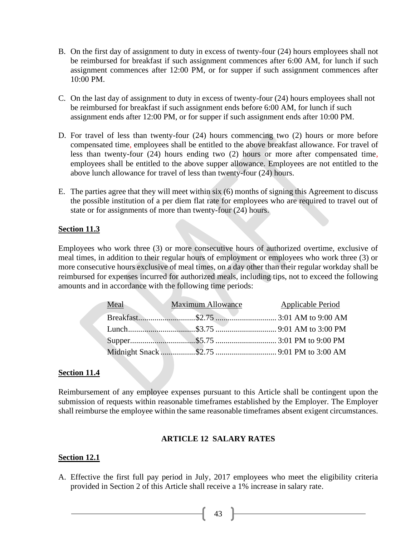- B. On the first day of assignment to duty in excess of twenty-four (24) hours employees shall not be reimbursed for breakfast if such assignment commences after 6:00 AM, for lunch if such assignment commences after 12:00 PM, or for supper if such assignment commences after 10:00 PM.
- C. On the last day of assignment to duty in excess of twenty-four (24) hours employees shall not be reimbursed for breakfast if such assignment ends before 6:00 AM, for lunch if such assignment ends after 12:00 PM, or for supper if such assignment ends after 10:00 PM.
- D. For travel of less than twenty-four (24) hours commencing two (2) hours or more before compensated time, employees shall be entitled to the above breakfast allowance. For travel of less than twenty-four (24) hours ending two (2) hours or more after compensated time, employees shall be entitled to the above supper allowance. Employees are not entitled to the above lunch allowance for travel of less than twenty-four (24) hours.
- E. The parties agree that they will meet within six (6) months of signing this Agreement to discuss the possible institution of a per diem flat rate for employees who are required to travel out of state or for assignments of more than twenty-four (24) hours.

## **Section 11.3**

Employees who work three (3) or more consecutive hours of authorized overtime, exclusive of meal times, in addition to their regular hours of employment or employees who work three (3) or more consecutive hours exclusive of meal times, on a day other than their regular workday shall be reimbursed for expenses incurred for authorized meals, including tips, not to exceed the following amounts and in accordance with the following time periods:

| Meal Maximum Allowance | <b>Applicable Period</b> |
|------------------------|--------------------------|
|                        |                          |
|                        |                          |
|                        |                          |
|                        |                          |

#### **Section 11.4**

Reimbursement of any employee expenses pursuant to this Article shall be contingent upon the submission of requests within reasonable timeframes established by the Employer. The Employer shall reimburse the employee within the same reasonable timeframes absent exigent circumstances.

#### **ARTICLE 12 SALARY RATES**

#### **Section 12.1**

A. Effective the first full pay period in July, 2017 employees who meet the eligibility criteria provided in Section 2 of this Article shall receive a 1% increase in salary rate.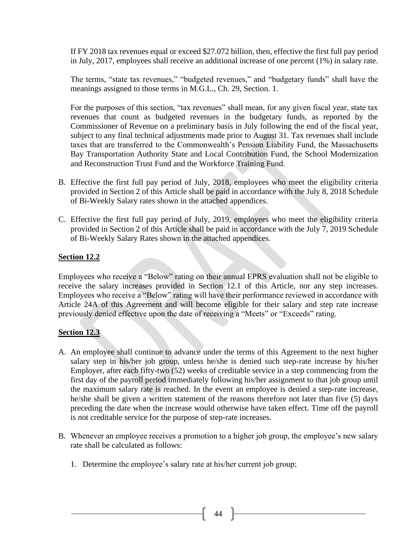If FY 2018 tax revenues equal or exceed \$27.072 billion, then, effective the first full pay period in July, 2017, employees shall receive an additional increase of one percent (1%) in salary rate.

The terms, "state tax revenues," "budgeted revenues," and "budgetary funds" shall have the meanings assigned to those terms in M.G.L., Ch. 29, Section. 1.

For the purposes of this section, "tax revenues" shall mean, for any given fiscal year, state tax revenues that count as budgeted revenues in the budgetary funds, as reported by the Commissioner of Revenue on a preliminary basis in July following the end of the fiscal year, subject to any final technical adjustments made prior to August 31. Tax revenues shall include taxes that are transferred to the Commonwealth's Pension Liability Fund, the Massachusetts Bay Transportation Authority State and Local Contribution Fund, the School Modernization and Reconstruction Trust Fund and the Workforce Training Fund.

- B. Effective the first full pay period of July, 2018, employees who meet the eligibility criteria provided in Section 2 of this Article shall be paid in accordance with the July 8, 2018 Schedule of Bi-Weekly Salary rates shown in the attached appendices.
- C. Effective the first full pay period of July, 2019, employees who meet the eligibility criteria provided in Section 2 of this Article shall be paid in accordance with the July 7, 2019 Schedule of Bi-Weekly Salary Rates shown in the attached appendices.

## **Section 12.2**

Employees who receive a "Below" rating on their annual EPRS evaluation shall not be eligible to receive the salary increases provided in Section 12.1 of this Article, nor any step increases. Employees who receive a "Below" rating will have their performance reviewed in accordance with Article 24A of this Agreement and will become eligible for their salary and step rate increase previously denied effective upon the date of receiving a "Meets" or "Exceeds" rating.

#### **Section 12.3**

- A. An employee shall continue to advance under the terms of this Agreement to the next higher salary step in his/her job group, unless he/she is denied such step-rate increase by his/her Employer, after each fifty-two (52) weeks of creditable service in a step commencing from the first day of the payroll period immediately following his/her assignment to that job group until the maximum salary rate is reached. In the event an employee is denied a step-rate increase, he/she shall be given a written statement of the reasons therefore not later than five (5) days preceding the date when the increase would otherwise have taken effect. Time off the payroll is not creditable service for the purpose of step-rate increases.
- B. Whenever an employee receives a promotion to a higher job group, the employee's new salary rate shall be calculated as follows:
	- 1. Determine the employee's salary rate at his/her current job group;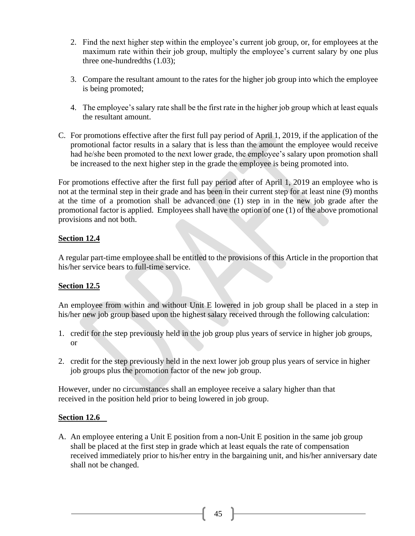- 2. Find the next higher step within the employee's current job group, or, for employees at the maximum rate within their job group, multiply the employee's current salary by one plus three one-hundredths (1.03);
- 3. Compare the resultant amount to the rates for the higher job group into which the employee is being promoted;
- 4. The employee's salary rate shall be the first rate in the higher job group which at least equals the resultant amount.
- C. For promotions effective after the first full pay period of April 1, 2019, if the application of the promotional factor results in a salary that is less than the amount the employee would receive had he/she been promoted to the next lower grade, the employee's salary upon promotion shall be increased to the next higher step in the grade the employee is being promoted into.

For promotions effective after the first full pay period after of April 1, 2019 an employee who is not at the terminal step in their grade and has been in their current step for at least nine (9) months at the time of a promotion shall be advanced one (1) step in in the new job grade after the promotional factor is applied. Employees shall have the option of one (1) of the above promotional provisions and not both.

## **Section 12.4**

A regular part-time employee shall be entitled to the provisions of this Article in the proportion that his/her service bears to full-time service.

## **Section 12.5**

An employee from within and without Unit E lowered in job group shall be placed in a step in his/her new job group based upon the highest salary received through the following calculation:

- 1. credit for the step previously held in the job group plus years of service in higher job groups, or
- 2. credit for the step previously held in the next lower job group plus years of service in higher job groups plus the promotion factor of the new job group.

However, under no circumstances shall an employee receive a salary higher than that received in the position held prior to being lowered in job group.

## **Section 12.6**

A. An employee entering a Unit E position from a non-Unit E position in the same job group shall be placed at the first step in grade which at least equals the rate of compensation received immediately prior to his/her entry in the bargaining unit, and his/her anniversary date shall not be changed.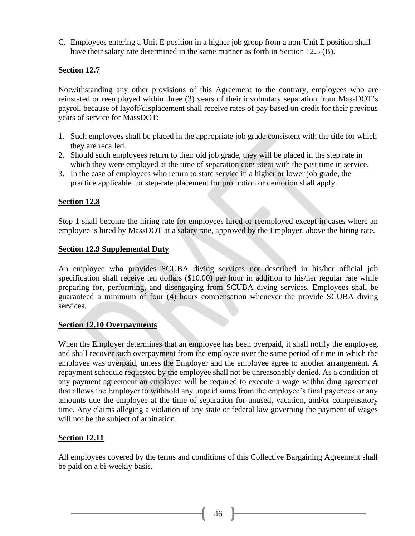C. Employees entering a Unit E position in a higher job group from a non-Unit E position shall have their salary rate determined in the same manner as forth in Section 12.5 (B).

## **Section 12.7**

Notwithstanding any other provisions of this Agreement to the contrary, employees who are reinstated or reemployed within three (3) years of their involuntary separation from MassDOT's payroll because of layoff/displacement shall receive rates of pay based on credit for their previous years of service for MassDOT:

- 1. Such employees shall be placed in the appropriate job grade consistent with the title for which they are recalled.
- 2. Should such employees return to their old job grade, they will be placed in the step rate in which they were employed at the time of separation consistent with the past time in service.
- 3. In the case of employees who return to state service in a higher or lower job grade, the practice applicable for step-rate placement for promotion or demotion shall apply.

#### **Section 12.8**

Step 1 shall become the hiring rate for employees hired or reemployed except in cases where an employee is hired by MassDOT at a salary rate, approved by the Employer, above the hiring rate.

#### **Section 12.9 Supplemental Duty**

An employee who provides SCUBA diving services not described in his/her official job specification shall receive ten dollars (\$10.00) per hour in addition to his/her regular rate while preparing for, performing, and disengaging from SCUBA diving services. Employees shall be guaranteed a minimum of four (4) hours compensation whenever the provide SCUBA diving services.

#### **Section 12.10 Overpayments**

When the Employer determines that an employee has been overpaid, it shall notify the employee**,** and shall recover such overpayment from the employee over the same period of time in which the employee was overpaid, unless the Employer and the employee agree to another arrangement. A repayment schedule requested by the employee shall not be unreasonably denied. As a condition of any payment agreement an employee will be required to execute a wage withholding agreement that allows the Employer to withhold any unpaid sums from the employee's final paycheck or any amounts due the employee at the time of separation for unused, vacation, and/or compensatory time. Any claims alleging a violation of any state or federal law governing the payment of wages will not be the subject of arbitration.

#### **Section 12.11**

All employees covered by the terms and conditions of this Collective Bargaining Agreement shall be paid on a bi-weekly basis.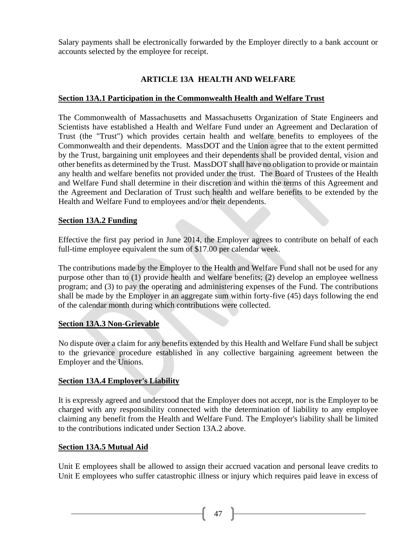Salary payments shall be electronically forwarded by the Employer directly to a bank account or accounts selected by the employee for receipt.

# **ARTICLE 13A HEALTH AND WELFARE**

## **Section 13A.1 Participation in the Commonwealth Health and Welfare Trust**

The Commonwealth of Massachusetts and Massachusetts Organization of State Engineers and Scientists have established a Health and Welfare Fund under an Agreement and Declaration of Trust (the "Trust") which provides certain health and welfare benefits to employees of the Commonwealth and their dependents. MassDOT and the Union agree that to the extent permitted by the Trust, bargaining unit employees and their dependents shall be provided dental, vision and other benefits as determined by the Trust. MassDOT shall have no obligation to provide or maintain any health and welfare benefits not provided under the trust. The Board of Trustees of the Health and Welfare Fund shall determine in their discretion and within the terms of this Agreement and the Agreement and Declaration of Trust such health and welfare benefits to be extended by the Health and Welfare Fund to employees and/or their dependents.

#### **Section 13A.2 Funding**

Effective the first pay period in June 2014, the Employer agrees to contribute on behalf of each full-time employee equivalent the sum of \$17.00 per calendar week.

The contributions made by the Employer to the Health and Welfare Fund shall not be used for any purpose other than to (1) provide health and welfare benefits; (2) develop an employee wellness program; and (3) to pay the operating and administering expenses of the Fund. The contributions shall be made by the Employer in an aggregate sum within forty-five (45) days following the end of the calendar month during which contributions were collected.

## **Section 13A.3 Non-Grievable**

No dispute over a claim for any benefits extended by this Health and Welfare Fund shall be subject to the grievance procedure established in any collective bargaining agreement between the Employer and the Unions.

#### **Section 13A.4 Employer's Liability**

It is expressly agreed and understood that the Employer does not accept, nor is the Employer to be charged with any responsibility connected with the determination of liability to any employee claiming any benefit from the Health and Welfare Fund. The Employer's liability shall be limited to the contributions indicated under Section 13A.2 above.

#### **Section 13A.5 Mutual Aid**

Unit E employees shall be allowed to assign their accrued vacation and personal leave credits to Unit E employees who suffer catastrophic illness or injury which requires paid leave in excess of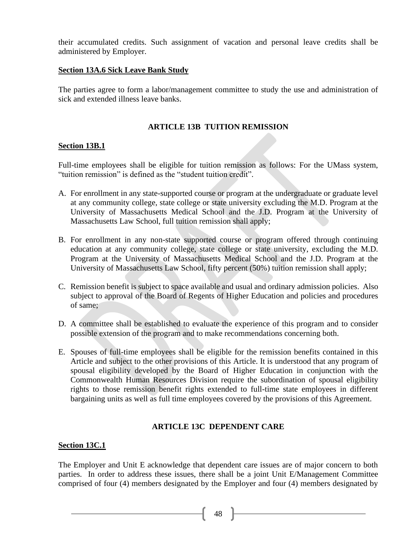their accumulated credits. Such assignment of vacation and personal leave credits shall be administered by Employer.

## **Section 13A.6 Sick Leave Bank Study**

The parties agree to form a labor/management committee to study the use and administration of sick and extended illness leave banks.

## **ARTICLE 13B TUITION REMISSION**

## **Section 13B.1**

Full-time employees shall be eligible for tuition remission as follows: For the UMass system, "tuition remission" is defined as the "student tuition credit".

- A. For enrollment in any state-supported course or program at the undergraduate or graduate level at any community college, state college or state university excluding the M.D. Program at the University of Massachusetts Medical School and the J.D. Program at the University of Massachusetts Law School, full tuition remission shall apply;
- B. For enrollment in any non-state supported course or program offered through continuing education at any community college, state college or state university, excluding the M.D. Program at the University of Massachusetts Medical School and the J.D. Program at the University of Massachusetts Law School, fifty percent (50%) tuition remission shall apply;
- C. Remission benefit is subject to space available and usual and ordinary admission policies. Also subject to approval of the Board of Regents of Higher Education and policies and procedures of same;
- D. A committee shall be established to evaluate the experience of this program and to consider possible extension of the program and to make recommendations concerning both.
- E. Spouses of full-time employees shall be eligible for the remission benefits contained in this Article and subject to the other provisions of this Article. It is understood that any program of spousal eligibility developed by the Board of Higher Education in conjunction with the Commonwealth Human Resources Division require the subordination of spousal eligibility rights to those remission benefit rights extended to full-time state employees in different bargaining units as well as full time employees covered by the provisions of this Agreement.

## **ARTICLE 13C DEPENDENT CARE**

#### **Section 13C.1**

The Employer and Unit E acknowledge that dependent care issues are of major concern to both parties. In order to address these issues, there shall be a joint Unit E/Management Committee comprised of four (4) members designated by the Employer and four (4) members designated by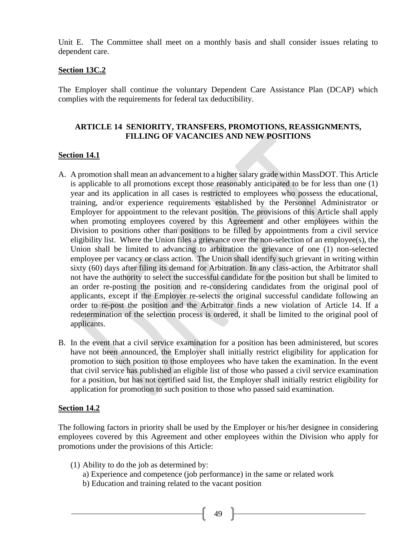Unit E. The Committee shall meet on a monthly basis and shall consider issues relating to dependent care.

#### **Section 13C.2**

The Employer shall continue the voluntary Dependent Care Assistance Plan (DCAP) which complies with the requirements for federal tax deductibility.

## **ARTICLE 14 SENIORITY, TRANSFERS, PROMOTIONS, REASSIGNMENTS, FILLING OF VACANCIES AND NEW POSITIONS**

#### **Section 14.1**

- A. A promotion shall mean an advancement to a higher salary grade within MassDOT. This Article is applicable to all promotions except those reasonably anticipated to be for less than one (1) year and its application in all cases is restricted to employees who possess the educational, training, and/or experience requirements established by the Personnel Administrator or Employer for appointment to the relevant position. The provisions of this Article shall apply when promoting employees covered by this Agreement and other employees within the Division to positions other than positions to be filled by appointments from a civil service eligibility list. Where the Union files a grievance over the non-selection of an employee(s), the Union shall be limited to advancing to arbitration the grievance of one (1) non-selected employee per vacancy or class action. The Union shall identify such grievant in writing within sixty (60) days after filing its demand for Arbitration. In any class-action, the Arbitrator shall not have the authority to select the successful candidate for the position but shall be limited to an order re-posting the position and re-considering candidates from the original pool of applicants, except if the Employer re-selects the original successful candidate following an order to re-post the position and the Arbitrator finds a new violation of Article 14. If a redetermination of the selection process is ordered, it shall be limited to the original pool of applicants.
- B. In the event that a civil service examination for a position has been administered, but scores have not been announced, the Employer shall initially restrict eligibility for application for promotion to such position to those employees who have taken the examination. In the event that civil service has published an eligible list of those who passed a civil service examination for a position, but has not certified said list, the Employer shall initially restrict eligibility for application for promotion to such position to those who passed said examination.

#### **Section 14.2**

The following factors in priority shall be used by the Employer or his/her designee in considering employees covered by this Agreement and other employees within the Division who apply for promotions under the provisions of this Article:

- (1) Ability to do the job as determined by:
	- a) Experience and competence (job performance) in the same or related work
	- b) Education and training related to the vacant position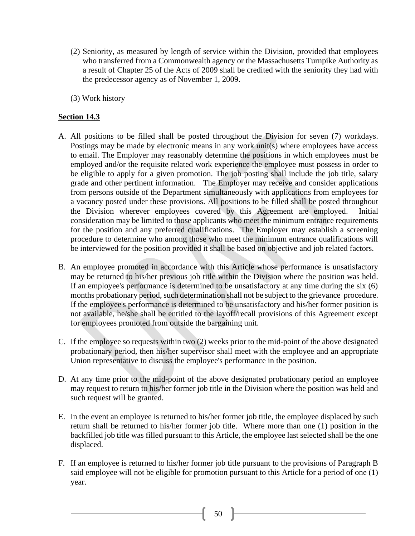- (2) Seniority, as measured by length of service within the Division, provided that employees who transferred from a Commonwealth agency or the Massachusetts Turnpike Authority as a result of Chapter 25 of the Acts of 2009 shall be credited with the seniority they had with the predecessor agency as of November 1, 2009.
- (3) Work history

## **Section 14.3**

- A. All positions to be filled shall be posted throughout the Division for seven (7) workdays. Postings may be made by electronic means in any work unit(s) where employees have access to email. The Employer may reasonably determine the positions in which employees must be employed and/or the requisite related work experience the employee must possess in order to be eligible to apply for a given promotion. The job posting shall include the job title, salary grade and other pertinent information. The Employer may receive and consider applications from persons outside of the Department simultaneously with applications from employees for a vacancy posted under these provisions. All positions to be filled shall be posted throughout the Division wherever employees covered by this Agreement are employed. Initial consideration may be limited to those applicants who meet the minimum entrance requirements for the position and any preferred qualifications. The Employer may establish a screening procedure to determine who among those who meet the minimum entrance qualifications will be interviewed for the position provided it shall be based on objective and job related factors.
- B. An employee promoted in accordance with this Article whose performance is unsatisfactory may be returned to his/her previous job title within the Division where the position was held. If an employee's performance is determined to be unsatisfactory at any time during the six (6) months probationary period, such determination shall not be subject to the grievance procedure. If the employee's performance is determined to be unsatisfactory and his/her former position is not available, he/she shall be entitled to the layoff/recall provisions of this Agreement except for employees promoted from outside the bargaining unit.
- C. If the employee so requests within two (2) weeks prior to the mid-point of the above designated probationary period, then his/her supervisor shall meet with the employee and an appropriate Union representative to discuss the employee's performance in the position.
- D. At any time prior to the mid-point of the above designated probationary period an employee may request to return to his/her former job title in the Division where the position was held and such request will be granted.
- E. In the event an employee is returned to his/her former job title, the employee displaced by such return shall be returned to his/her former job title. Where more than one (1) position in the backfilled job title was filled pursuant to this Article, the employee last selected shall be the one displaced.
- F. If an employee is returned to his/her former job title pursuant to the provisions of Paragraph B said employee will not be eligible for promotion pursuant to this Article for a period of one (1) year.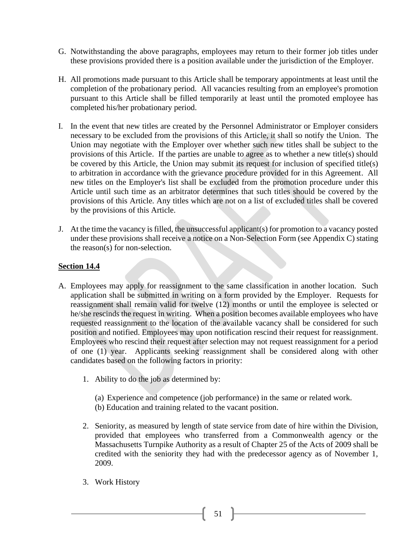- G. Notwithstanding the above paragraphs, employees may return to their former job titles under these provisions provided there is a position available under the jurisdiction of the Employer.
- H. All promotions made pursuant to this Article shall be temporary appointments at least until the completion of the probationary period. All vacancies resulting from an employee's promotion pursuant to this Article shall be filled temporarily at least until the promoted employee has completed his/her probationary period.
- I. In the event that new titles are created by the Personnel Administrator or Employer considers necessary to be excluded from the provisions of this Article, it shall so notify the Union. The Union may negotiate with the Employer over whether such new titles shall be subject to the provisions of this Article. If the parties are unable to agree as to whether a new title(s) should be covered by this Article, the Union may submit its request for inclusion of specified title(s) to arbitration in accordance with the grievance procedure provided for in this Agreement. All new titles on the Employer's list shall be excluded from the promotion procedure under this Article until such time as an arbitrator determines that such titles should be covered by the provisions of this Article. Any titles which are not on a list of excluded titles shall be covered by the provisions of this Article.
- J. At the time the vacancy is filled, the unsuccessful applicant(s) for promotion to a vacancy posted under these provisions shall receive a notice on a Non-Selection Form (see Appendix C) stating the reason(s) for non-selection.

## **Section 14.4**

- A. Employees may apply for reassignment to the same classification in another location. Such application shall be submitted in writing on a form provided by the Employer. Requests for reassignment shall remain valid for twelve (12) months or until the employee is selected or he/she rescinds the request in writing. When a position becomes available employees who have requested reassignment to the location of the available vacancy shall be considered for such position and notified. Employees may upon notification rescind their request for reassignment. Employees who rescind their request after selection may not request reassignment for a period of one (1) year. Applicants seeking reassignment shall be considered along with other candidates based on the following factors in priority:
	- 1. Ability to do the job as determined by:
		- (a) Experience and competence (job performance) in the same or related work.
		- (b) Education and training related to the vacant position.
	- 2. Seniority, as measured by length of state service from date of hire within the Division, provided that employees who transferred from a Commonwealth agency or the Massachusetts Turnpike Authority as a result of Chapter 25 of the Acts of 2009 shall be credited with the seniority they had with the predecessor agency as of November 1, 2009.
	- 3. Work History

51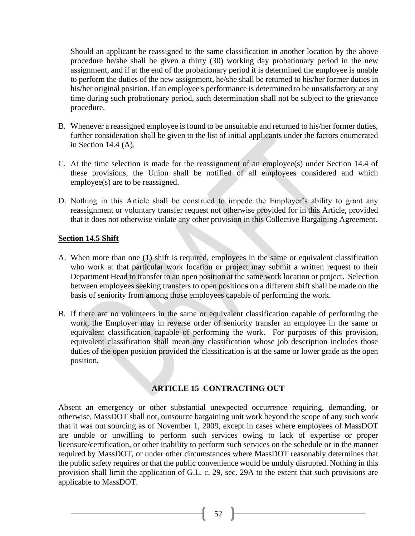Should an applicant be reassigned to the same classification in another location by the above procedure he/she shall be given a thirty (30) working day probationary period in the new assignment, and if at the end of the probationary period it is determined the employee is unable to perform the duties of the new assignment, he/she shall be returned to his/her former duties in his/her original position. If an employee's performance is determined to be unsatisfactory at any time during such probationary period, such determination shall not be subject to the grievance procedure.

- B. Whenever a reassigned employee is found to be unsuitable and returned to his/her former duties, further consideration shall be given to the list of initial applicants under the factors enumerated in Section 14.4 (A).
- C. At the time selection is made for the reassignment of an employee(s) under Section 14.4 of these provisions, the Union shall be notified of all employees considered and which employee(s) are to be reassigned.
- D. Nothing in this Article shall be construed to impede the Employer's ability to grant any reassignment or voluntary transfer request not otherwise provided for in this Article, provided that it does not otherwise violate any other provision in this Collective Bargaining Agreement.

#### **Section 14.5 Shift**

- A. When more than one (1) shift is required, employees in the same or equivalent classification who work at that particular work location or project may submit a written request to their Department Head to transfer to an open position at the same work location or project. Selection between employees seeking transfers to open positions on a different shift shall be made on the basis of seniority from among those employees capable of performing the work.
- B. If there are no volunteers in the same or equivalent classification capable of performing the work, the Employer may in reverse order of seniority transfer an employee in the same or equivalent classification capable of performing the work. For purposes of this provision, equivalent classification shall mean any classification whose job description includes those duties of the open position provided the classification is at the same or lower grade as the open position.

## **ARTICLE 15 CONTRACTING OUT**

Absent an emergency or other substantial unexpected occurrence requiring, demanding, or otherwise, MassDOT shall not, outsource bargaining unit work beyond the scope of any such work that it was out sourcing as of November 1, 2009, except in cases where employees of MassDOT are unable or unwilling to perform such services owing to lack of expertise or proper licensure/certification, or other inability to perform such services on the schedule or in the manner required by MassDOT, or under other circumstances where MassDOT reasonably determines that the public safety requires or that the public convenience would be unduly disrupted. Nothing in this provision shall limit the application of G.L. c. 29, sec. 29A to the extent that such provisions are applicable to MassDOT.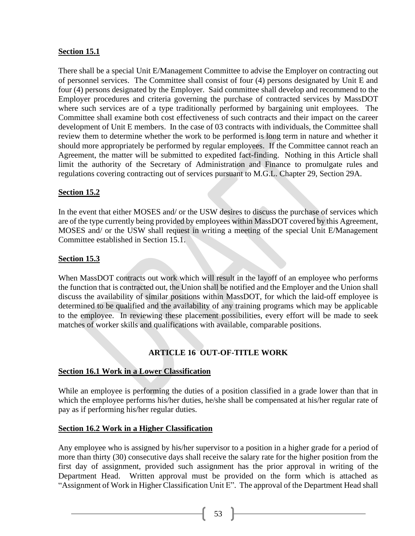## **Section 15.1**

There shall be a special Unit E/Management Committee to advise the Employer on contracting out of personnel services. The Committee shall consist of four (4) persons designated by Unit E and four (4) persons designated by the Employer. Said committee shall develop and recommend to the Employer procedures and criteria governing the purchase of contracted services by MassDOT where such services are of a type traditionally performed by bargaining unit employees. The Committee shall examine both cost effectiveness of such contracts and their impact on the career development of Unit E members. In the case of 03 contracts with individuals, the Committee shall review them to determine whether the work to be performed is long term in nature and whether it should more appropriately be performed by regular employees. If the Committee cannot reach an Agreement, the matter will be submitted to expedited fact-finding. Nothing in this Article shall limit the authority of the Secretary of Administration and Finance to promulgate rules and regulations covering contracting out of services pursuant to M.G.L. Chapter 29, Section 29A.

## **Section 15.2**

In the event that either MOSES and/ or the USW desires to discuss the purchase of services which are of the type currently being provided by employees within MassDOT covered by this Agreement, MOSES and/ or the USW shall request in writing a meeting of the special Unit E/Management Committee established in Section 15.1.

## **Section 15.3**

When MassDOT contracts out work which will result in the layoff of an employee who performs the function that is contracted out, the Union shall be notified and the Employer and the Union shall discuss the availability of similar positions within MassDOT, for which the laid-off employee is determined to be qualified and the availability of any training programs which may be applicable to the employee. In reviewing these placement possibilities, every effort will be made to seek matches of worker skills and qualifications with available, comparable positions.

# **ARTICLE 16 OUT-OF-TITLE WORK**

## **Section 16.1 Work in a Lower Classification**

While an employee is performing the duties of a position classified in a grade lower than that in which the employee performs his/her duties, he/she shall be compensated at his/her regular rate of pay as if performing his/her regular duties.

#### **Section 16.2 Work in a Higher Classification**

Any employee who is assigned by his/her supervisor to a position in a higher grade for a period of more than thirty (30) consecutive days shall receive the salary rate for the higher position from the first day of assignment, provided such assignment has the prior approval in writing of the Department Head. Written approval must be provided on the form which is attached as "Assignment of Work in Higher Classification Unit E". The approval of the Department Head shall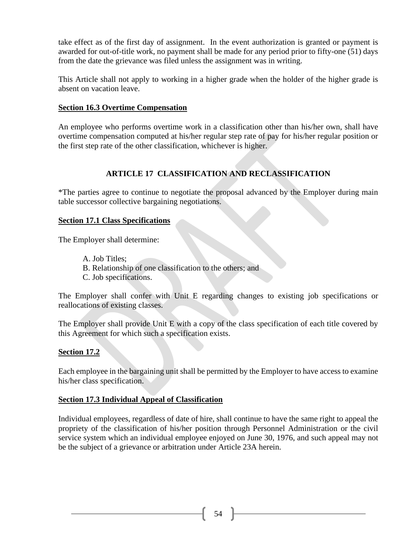take effect as of the first day of assignment. In the event authorization is granted or payment is awarded for out-of-title work, no payment shall be made for any period prior to fifty-one (51) days from the date the grievance was filed unless the assignment was in writing.

This Article shall not apply to working in a higher grade when the holder of the higher grade is absent on vacation leave.

#### **Section 16.3 Overtime Compensation**

An employee who performs overtime work in a classification other than his/her own, shall have overtime compensation computed at his/her regular step rate of pay for his/her regular position or the first step rate of the other classification, whichever is higher.

# **ARTICLE 17 CLASSIFICATION AND RECLASSIFICATION**

\*The parties agree to continue to negotiate the proposal advanced by the Employer during main table successor collective bargaining negotiations.

#### **Section 17.1 Class Specifications**

The Employer shall determine:

A. Job Titles; B. Relationship of one classification to the others; and C. Job specifications.

The Employer shall confer with Unit E regarding changes to existing job specifications or reallocations of existing classes.

The Employer shall provide Unit E with a copy of the class specification of each title covered by this Agreement for which such a specification exists.

#### **Section 17.2**

Each employee in the bargaining unit shall be permitted by the Employer to have access to examine his/her class specification.

## **Section 17.3 Individual Appeal of Classification**

Individual employees, regardless of date of hire, shall continue to have the same right to appeal the propriety of the classification of his/her position through Personnel Administration or the civil service system which an individual employee enjoyed on June 30, 1976, and such appeal may not be the subject of a grievance or arbitration under Article 23A herein.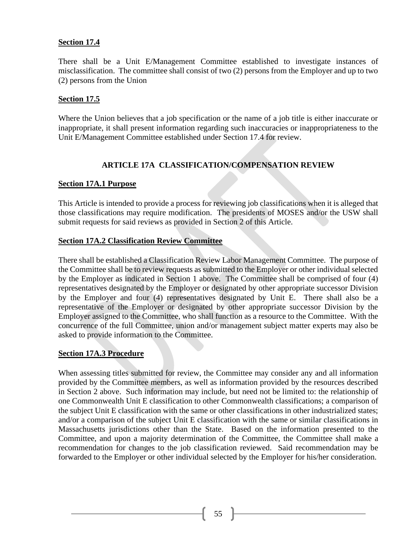#### **Section 17.4**

There shall be a Unit E/Management Committee established to investigate instances of misclassification. The committee shall consist of two (2) persons from the Employer and up to two (2) persons from the Union

## **Section 17.5**

Where the Union believes that a job specification or the name of a job title is either inaccurate or inappropriate, it shall present information regarding such inaccuracies or inappropriateness to the Unit E/Management Committee established under Section 17.4 for review.

# **ARTICLE 17A CLASSIFICATION/COMPENSATION REVIEW**

## **Section 17A.1 Purpose**

This Article is intended to provide a process for reviewing job classifications when it is alleged that those classifications may require modification. The presidents of MOSES and/or the USW shall submit requests for said reviews as provided in Section 2 of this Article.

#### **Section 17A.2 Classification Review Committee**

There shall be established a Classification Review Labor Management Committee. The purpose of the Committee shall be to review requests as submitted to the Employer or other individual selected by the Employer as indicated in Section 1 above. The Committee shall be comprised of four (4) representatives designated by the Employer or designated by other appropriate successor Division by the Employer and four (4) representatives designated by Unit E. There shall also be a representative of the Employer or designated by other appropriate successor Division by the Employer assigned to the Committee, who shall function as a resource to the Committee. With the concurrence of the full Committee, union and/or management subject matter experts may also be asked to provide information to the Committee.

#### **Section 17A.3 Procedure**

When assessing titles submitted for review, the Committee may consider any and all information provided by the Committee members, as well as information provided by the resources described in Section 2 above. Such information may include, but need not be limited to: the relationship of one Commonwealth Unit E classification to other Commonwealth classifications; a comparison of the subject Unit E classification with the same or other classifications in other industrialized states; and/or a comparison of the subject Unit E classification with the same or similar classifications in Massachusetts jurisdictions other than the State. Based on the information presented to the Committee, and upon a majority determination of the Committee, the Committee shall make a recommendation for changes to the job classification reviewed. Said recommendation may be forwarded to the Employer or other individual selected by the Employer for his/her consideration.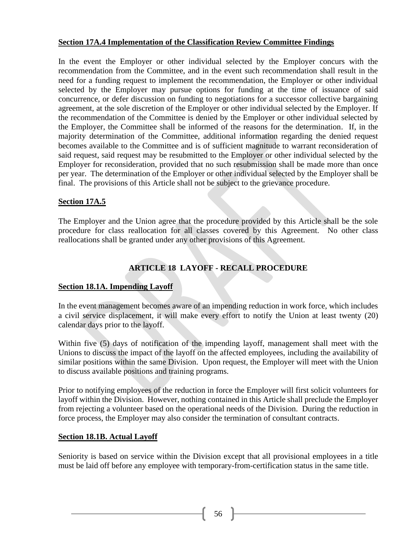## **Section 17A.4 Implementation of the Classification Review Committee Findings**

In the event the Employer or other individual selected by the Employer concurs with the recommendation from the Committee, and in the event such recommendation shall result in the need for a funding request to implement the recommendation, the Employer or other individual selected by the Employer may pursue options for funding at the time of issuance of said concurrence, or defer discussion on funding to negotiations for a successor collective bargaining agreement, at the sole discretion of the Employer or other individual selected by the Employer. If the recommendation of the Committee is denied by the Employer or other individual selected by the Employer, the Committee shall be informed of the reasons for the determination. If, in the majority determination of the Committee, additional information regarding the denied request becomes available to the Committee and is of sufficient magnitude to warrant reconsideration of said request, said request may be resubmitted to the Employer or other individual selected by the Employer for reconsideration, provided that no such resubmission shall be made more than once per year. The determination of the Employer or other individual selected by the Employer shall be final. The provisions of this Article shall not be subject to the grievance procedure.

## **Section 17A.5**

The Employer and the Union agree that the procedure provided by this Article shall be the sole procedure for class reallocation for all classes covered by this Agreement. No other class reallocations shall be granted under any other provisions of this Agreement.

# **ARTICLE 18 LAYOFF - RECALL PROCEDURE**

#### **Section 18.1A. Impending Layoff**

In the event management becomes aware of an impending reduction in work force, which includes a civil service displacement, it will make every effort to notify the Union at least twenty (20) calendar days prior to the layoff.

Within five (5) days of notification of the impending layoff, management shall meet with the Unions to discuss the impact of the layoff on the affected employees, including the availability of similar positions within the same Division. Upon request, the Employer will meet with the Union to discuss available positions and training programs.

Prior to notifying employees of the reduction in force the Employer will first solicit volunteers for layoff within the Division. However, nothing contained in this Article shall preclude the Employer from rejecting a volunteer based on the operational needs of the Division. During the reduction in force process, the Employer may also consider the termination of consultant contracts.

#### **Section 18.1B. Actual Layoff**

Seniority is based on service within the Division except that all provisional employees in a title must be laid off before any employee with temporary-from-certification status in the same title.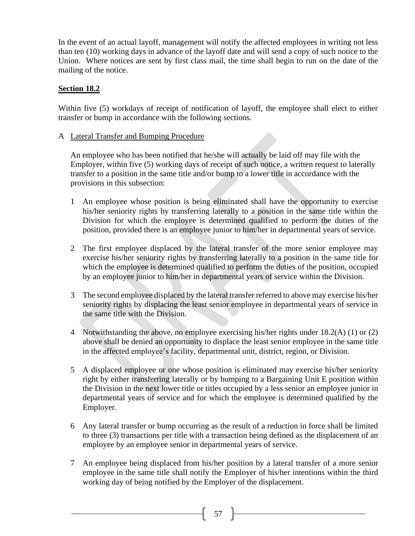In the event of an actual layoff, management will notify the affected employees in writing not less than ten (10) working days in advance of the layoff date and will send a copy of such notice to the Union. Where notices are sent by first class mail, the time shall begin to run on the date of the mailing of the notice.

## **Section 18.2**

Within five (5) workdays of receipt of notification of layoff, the employee shall elect to either transfer or bump in accordance with the following sections.

#### A Lateral Transfer and Bumping Procedure

An employee who has been notified that he/she will actually be laid off may file with the Employer, within five (5) working days of receipt of such notice, a written request to laterally transfer to a position in the same title and/or bump to a lower title in accordance with the provisions in this subsection:

- 1 An employee whose position is being eliminated shall have the opportunity to exercise his/her seniority rights by transferring laterally to a position in the same title within the Division for which the employee is determined qualified to perform the duties of the position, provided there is an employee junior to him/her in departmental years of service.
- 2 The first employee displaced by the lateral transfer of the more senior employee may exercise his/her seniority rights by transferring laterally to a position in the same title for which the employee is determined qualified to perform the duties of the position, occupied by an employee junior to him/her in departmental years of service within the Division.
- 3 The second employee displaced by the lateral transfer referred to above may exercise his/her seniority rights by displacing the least senior employee in departmental years of service in the same title with the Division.
- 4 Notwithstanding the above, no employee exercising his/her rights under 18.2(A) (1) or (2) above shall be denied an opportunity to displace the least senior employee in the same title in the affected employee's facility, departmental unit, district, region, or Division.
- 5 A displaced employee or one whose position is eliminated may exercise his/her seniority right by either transferring laterally or by bumping to a Bargaining Unit E position within the Division in the next lower title or titles occupied by a less senior an employee junior in departmental years of service and for which the employee is determined qualified by the Employer.
- 6 Any lateral transfer or bump occurring as the result of a reduction in force shall be limited to three (3) transactions per title with a transaction being defined as the displacement of an employee by an employee senior in departmental years of service.
- 7 An employee being displaced from his/her position by a lateral transfer of a more senior employee in the same title shall notify the Employer of his/her intentions within the third working day of being notified by the Employer of the displacement.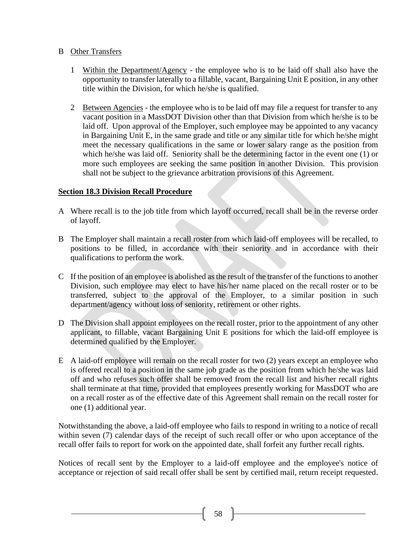## B Other Transfers

- 1 Within the Department/Agency the employee who is to be laid off shall also have the opportunity to transfer laterally to a fillable, vacant, Bargaining Unit E position, in any other title within the Division, for which he/she is qualified.
- 2 Between Agencies the employee who is to be laid off may file a request for transfer to any vacant position in a MassDOT Division other than that Division from which he/she is to be laid off. Upon approval of the Employer, such employee may be appointed to any vacancy in Bargaining Unit E, in the same grade and title or any similar title for which he/she might meet the necessary qualifications in the same or lower salary range as the position from which he/she was laid off. Seniority shall be the determining factor in the event one (1) or more such employees are seeking the same position in another Division. This provision shall not be subject to the grievance arbitration provisions of this Agreement.

# **Section 18.3 Division Recall Procedure**

- A Where recall is to the job title from which layoff occurred, recall shall be in the reverse order of layoff.
- B The Employer shall maintain a recall roster from which laid-off employees will be recalled, to positions to be filled, in accordance with their seniority and in accordance with their qualifications to perform the work.
- C If the position of an employee is abolished as the result of the transfer of the functions to another Division, such employee may elect to have his/her name placed on the recall roster or to be transferred, subject to the approval of the Employer, to a similar position in such department/agency without loss of seniority, retirement or other rights.
- D The Division shall appoint employees on the recall roster, prior to the appointment of any other applicant, to fillable, vacant Bargaining Unit E positions for which the laid-off employee is determined qualified by the Employer.
- E A laid-off employee will remain on the recall roster for two (2) years except an employee who is offered recall to a position in the same job grade as the position from which he/she was laid off and who refuses such offer shall be removed from the recall list and his/her recall rights shall terminate at that time, provided that employees presently working for MassDOT who are on a recall roster as of the effective date of this Agreement shall remain on the recall roster for one (1) additional year.

Notwithstanding the above, a laid-off employee who fails to respond in writing to a notice of recall within seven (7) calendar days of the receipt of such recall offer or who upon acceptance of the recall offer fails to report for work on the appointed date, shall forfeit any further recall rights.

Notices of recall sent by the Employer to a laid-off employee and the employee's notice of acceptance or rejection of said recall offer shall be sent by certified mail, return receipt requested.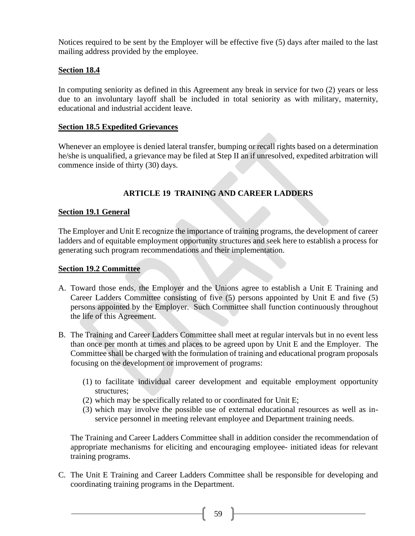Notices required to be sent by the Employer will be effective five (5) days after mailed to the last mailing address provided by the employee.

## **Section 18.4**

In computing seniority as defined in this Agreement any break in service for two (2) years or less due to an involuntary layoff shall be included in total seniority as with military, maternity, educational and industrial accident leave.

## **Section 18.5 Expedited Grievances**

Whenever an employee is denied lateral transfer, bumping or recall rights based on a determination he/she is unqualified, a grievance may be filed at Step II an if unresolved, expedited arbitration will commence inside of thirty (30) days.

# **ARTICLE 19 TRAINING AND CAREER LADDERS**

## **Section 19.1 General**

The Employer and Unit E recognize the importance of training programs, the development of career ladders and of equitable employment opportunity structures and seek here to establish a process for generating such program recommendations and their implementation.

#### **Section 19.2 Committee**

- A. Toward those ends, the Employer and the Unions agree to establish a Unit E Training and Career Ladders Committee consisting of five (5) persons appointed by Unit E and five (5) persons appointed by the Employer. Such Committee shall function continuously throughout the life of this Agreement.
- B. The Training and Career Ladders Committee shall meet at regular intervals but in no event less than once per month at times and places to be agreed upon by Unit E and the Employer. The Committee shall be charged with the formulation of training and educational program proposals focusing on the development or improvement of programs:
	- (1) to facilitate individual career development and equitable employment opportunity structures;
	- (2) which may be specifically related to or coordinated for Unit E;
	- (3) which may involve the possible use of external educational resources as well as inservice personnel in meeting relevant employee and Department training needs.

The Training and Career Ladders Committee shall in addition consider the recommendation of appropriate mechanisms for eliciting and encouraging employee- initiated ideas for relevant training programs.

C. The Unit E Training and Career Ladders Committee shall be responsible for developing and coordinating training programs in the Department.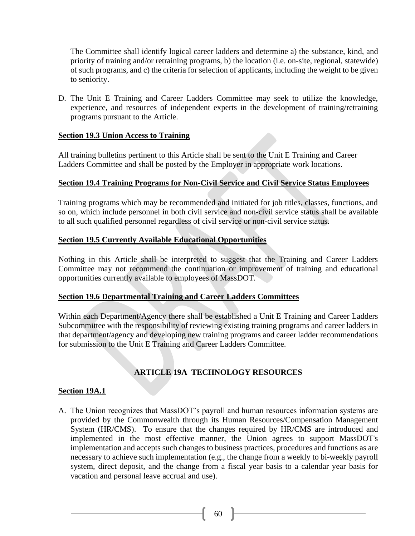The Committee shall identify logical career ladders and determine a) the substance, kind, and priority of training and/or retraining programs, b) the location (i.e. on-site, regional, statewide) of such programs, and c) the criteria for selection of applicants, including the weight to be given to seniority.

D. The Unit E Training and Career Ladders Committee may seek to utilize the knowledge, experience, and resources of independent experts in the development of training/retraining programs pursuant to the Article.

#### **Section 19.3 Union Access to Training**

All training bulletins pertinent to this Article shall be sent to the Unit E Training and Career Ladders Committee and shall be posted by the Employer in appropriate work locations.

#### **Section 19.4 Training Programs for Non-Civil Service and Civil Service Status Employees**

Training programs which may be recommended and initiated for job titles, classes, functions, and so on, which include personnel in both civil service and non-civil service status shall be available to all such qualified personnel regardless of civil service or non-civil service status.

#### **Section 19.5 Currently Available Educational Opportunities**

Nothing in this Article shall be interpreted to suggest that the Training and Career Ladders Committee may not recommend the continuation or improvement of training and educational opportunities currently available to employees of MassDOT.

#### **Section 19.6 Departmental Training and Career Ladders Committees**

Within each Department/Agency there shall be established a Unit E Training and Career Ladders Subcommittee with the responsibility of reviewing existing training programs and career ladders in that department/agency and developing new training programs and career ladder recommendations for submission to the Unit E Training and Career Ladders Committee.

# **ARTICLE 19A TECHNOLOGY RESOURCES**

#### **Section 19A.1**

A. The Union recognizes that MassDOT's payroll and human resources information systems are provided by the Commonwealth through its Human Resources/Compensation Management System (HR/CMS). To ensure that the changes required by HR/CMS are introduced and implemented in the most effective manner, the Union agrees to support MassDOT's implementation and accepts such changes to business practices, procedures and functions as are necessary to achieve such implementation (e.g., the change from a weekly to bi-weekly payroll system, direct deposit, and the change from a fiscal year basis to a calendar year basis for vacation and personal leave accrual and use).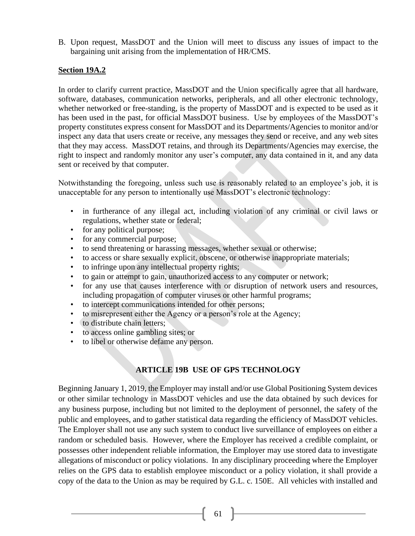B. Upon request, MassDOT and the Union will meet to discuss any issues of impact to the bargaining unit arising from the implementation of HR/CMS.

#### **Section 19A.2**

In order to clarify current practice, MassDOT and the Union specifically agree that all hardware, software, databases, communication networks, peripherals, and all other electronic technology, whether networked or free-standing, is the property of MassDOT and is expected to be used as it has been used in the past, for official MassDOT business. Use by employees of the MassDOT's property constitutes express consent for MassDOT and its Departments/Agencies to monitor and/or inspect any data that users create or receive, any messages they send or receive, and any web sites that they may access. MassDOT retains, and through its Departments/Agencies may exercise, the right to inspect and randomly monitor any user's computer, any data contained in it, and any data sent or received by that computer.

Notwithstanding the foregoing, unless such use is reasonably related to an employee's job, it is unacceptable for any person to intentionally use MassDOT's electronic technology:

- in furtherance of any illegal act, including violation of any criminal or civil laws or regulations, whether state or federal;
- for any political purpose;
- for any commercial purpose;
- to send threatening or harassing messages, whether sexual or otherwise;
- to access or share sexually explicit, obscene, or otherwise inappropriate materials;
- to infringe upon any intellectual property rights;
- to gain or attempt to gain, unauthorized access to any computer or network;
- for any use that causes interference with or disruption of network users and resources, including propagation of computer viruses or other harmful programs;
- to intercept communications intended for other persons;
- to misrepresent either the Agency or a person's role at the Agency;
- to distribute chain letters:
- to access online gambling sites; or
- to libel or otherwise defame any person.

# **ARTICLE 19B USE OF GPS TECHNOLOGY**

Beginning January 1, 2019, the Employer may install and/or use Global Positioning System devices or other similar technology in MassDOT vehicles and use the data obtained by such devices for any business purpose, including but not limited to the deployment of personnel, the safety of the public and employees, and to gather statistical data regarding the efficiency of MassDOT vehicles. The Employer shall not use any such system to conduct live surveillance of employees on either a random or scheduled basis. However, where the Employer has received a credible complaint, or possesses other independent reliable information, the Employer may use stored data to investigate allegations of misconduct or policy violations. In any disciplinary proceeding where the Employer relies on the GPS data to establish employee misconduct or a policy violation, it shall provide a copy of the data to the Union as may be required by G.L. c. 150E. All vehicles with installed and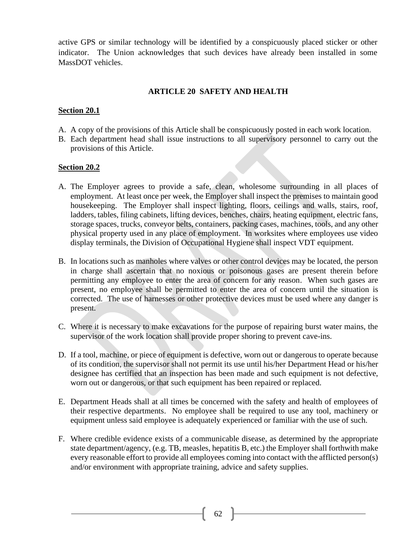active GPS or similar technology will be identified by a conspicuously placed sticker or other indicator. The Union acknowledges that such devices have already been installed in some MassDOT vehicles.

## **ARTICLE 20 SAFETY AND HEALTH**

#### **Section 20.1**

- A. A copy of the provisions of this Article shall be conspicuously posted in each work location.
- B. Each department head shall issue instructions to all supervisory personnel to carry out the provisions of this Article.

#### **Section 20.2**

- A. The Employer agrees to provide a safe, clean, wholesome surrounding in all places of employment. At least once per week, the Employer shall inspect the premises to maintain good housekeeping. The Employer shall inspect lighting, floors, ceilings and walls, stairs, roof, ladders, tables, filing cabinets, lifting devices, benches, chairs, heating equipment, electric fans, storage spaces, trucks, conveyor belts, containers, packing cases, machines, tools, and any other physical property used in any place of employment. In worksites where employees use video display terminals, the Division of Occupational Hygiene shall inspect VDT equipment.
- B. In locations such as manholes where valves or other control devices may be located, the person in charge shall ascertain that no noxious or poisonous gases are present therein before permitting any employee to enter the area of concern for any reason. When such gases are present, no employee shall be permitted to enter the area of concern until the situation is corrected. The use of harnesses or other protective devices must be used where any danger is present.
- C. Where it is necessary to make excavations for the purpose of repairing burst water mains, the supervisor of the work location shall provide proper shoring to prevent cave-ins.
- D. If a tool, machine, or piece of equipment is defective, worn out or dangerous to operate because of its condition, the supervisor shall not permit its use until his/her Department Head or his/her designee has certified that an inspection has been made and such equipment is not defective, worn out or dangerous, or that such equipment has been repaired or replaced.
- E. Department Heads shall at all times be concerned with the safety and health of employees of their respective departments. No employee shall be required to use any tool, machinery or equipment unless said employee is adequately experienced or familiar with the use of such.
- F. Where credible evidence exists of a communicable disease, as determined by the appropriate state department/agency, (e.g. TB, measles, hepatitis B, etc.) the Employer shall forthwith make every reasonable effort to provide all employees coming into contact with the afflicted person(s) and/or environment with appropriate training, advice and safety supplies.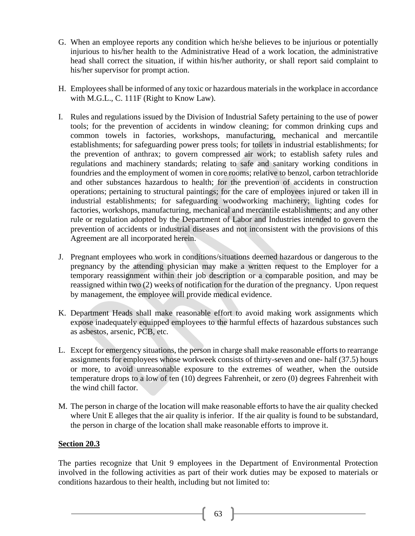- G. When an employee reports any condition which he/she believes to be injurious or potentially injurious to his/her health to the Administrative Head of a work location, the administrative head shall correct the situation, if within his/her authority, or shall report said complaint to his/her supervisor for prompt action.
- H. Employees shall be informed of any toxic or hazardous materials in the workplace in accordance with M.G.L., C. 111F (Right to Know Law).
- I. Rules and regulations issued by the Division of Industrial Safety pertaining to the use of power tools; for the prevention of accidents in window cleaning; for common drinking cups and common towels in factories, workshops, manufacturing, mechanical and mercantile establishments; for safeguarding power press tools; for toilets in industrial establishments; for the prevention of anthrax; to govern compressed air work; to establish safety rules and regulations and machinery standards; relating to safe and sanitary working conditions in foundries and the employment of women in core rooms; relative to benzol, carbon tetrachloride and other substances hazardous to health; for the prevention of accidents in construction operations; pertaining to structural paintings; for the care of employees injured or taken ill in industrial establishments; for safeguarding woodworking machinery; lighting codes for factories, workshops, manufacturing, mechanical and mercantile establishments; and any other rule or regulation adopted by the Department of Labor and Industries intended to govern the prevention of accidents or industrial diseases and not inconsistent with the provisions of this Agreement are all incorporated herein.
- J. Pregnant employees who work in conditions/situations deemed hazardous or dangerous to the pregnancy by the attending physician may make a written request to the Employer for a temporary reassignment within their job description or a comparable position, and may be reassigned within two (2) weeks of notification for the duration of the pregnancy. Upon request by management, the employee will provide medical evidence.
- K. Department Heads shall make reasonable effort to avoid making work assignments which expose inadequately equipped employees to the harmful effects of hazardous substances such as asbestos, arsenic, PCB, etc.
- L. Except for emergency situations, the person in charge shall make reasonable efforts to rearrange assignments for employees whose workweek consists of thirty-seven and one- half (37.5) hours or more, to avoid unreasonable exposure to the extremes of weather, when the outside temperature drops to a low of ten (10) degrees Fahrenheit, or zero (0) degrees Fahrenheit with the wind chill factor.
- M. The person in charge of the location will make reasonable efforts to have the air quality checked where Unit E alleges that the air quality is inferior. If the air quality is found to be substandard, the person in charge of the location shall make reasonable efforts to improve it.

## **Section 20.3**

The parties recognize that Unit 9 employees in the Department of Environmental Protection involved in the following activities as part of their work duties may be exposed to materials or conditions hazardous to their health, including but not limited to: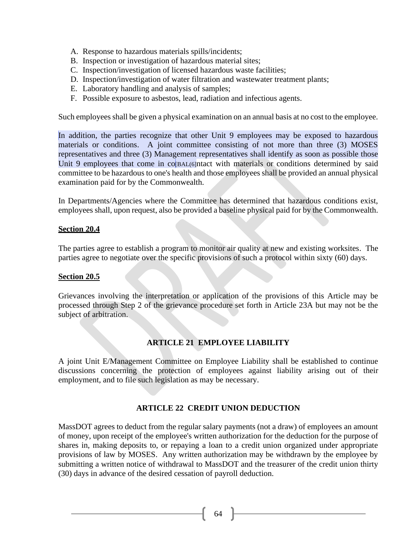- A. Response to hazardous materials spills/incidents;
- B. Inspection or investigation of hazardous material sites;
- C. Inspection/investigation of licensed hazardous waste facilities;
- D. Inspection/investigation of water filtration and wastewater treatment plants;
- E. Laboratory handling and analysis of samples;
- F. Possible exposure to asbestos, lead, radiation and infectious agents.

Such employees shall be given a physical examination on an annual basis at no cost to the employee.

In addition, the parties recognize that other Unit 9 employees may be exposed to hazardous materials or conditions. A joint committee consisting of not more than three (3) MOSES representatives and three (3) Management representatives shall identify as soon as possible those Unit 9 employees that come in co[BAL(6]ntact with materials or conditions determined by said committee to be hazardous to one's health and those employees shall be provided an annual physical examination paid for by the Commonwealth.

In Departments/Agencies where the Committee has determined that hazardous conditions exist, employees shall, upon request, also be provided a baseline physical paid for by the Commonwealth.

#### **Section 20.4**

The parties agree to establish a program to monitor air quality at new and existing worksites. The parties agree to negotiate over the specific provisions of such a protocol within sixty (60) days.

#### **Section 20.5**

Grievances involving the interpretation or application of the provisions of this Article may be processed through Step 2 of the grievance procedure set forth in Article 23A but may not be the subject of arbitration.

## **ARTICLE 21 EMPLOYEE LIABILITY**

A joint Unit E/Management Committee on Employee Liability shall be established to continue discussions concerning the protection of employees against liability arising out of their employment, and to file such legislation as may be necessary.

## **ARTICLE 22 CREDIT UNION DEDUCTION**

MassDOT agrees to deduct from the regular salary payments (not a draw) of employees an amount of money, upon receipt of the employee's written authorization for the deduction for the purpose of shares in, making deposits to, or repaying a loan to a credit union organized under appropriate provisions of law by MOSES. Any written authorization may be withdrawn by the employee by submitting a written notice of withdrawal to MassDOT and the treasurer of the credit union thirty (30) days in advance of the desired cessation of payroll deduction.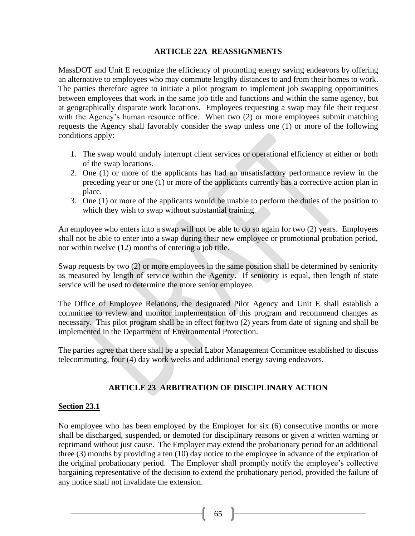## **ARTICLE 22A REASSIGNMENTS**

MassDOT and Unit E recognize the efficiency of promoting energy saving endeavors by offering an alternative to employees who may commute lengthy distances to and from their homes to work. The parties therefore agree to initiate a pilot program to implement job swapping opportunities between employees that work in the same job title and functions and within the same agency, but at geographically disparate work locations. Employees requesting a swap may file their request with the Agency's human resource office. When two (2) or more employees submit matching requests the Agency shall favorably consider the swap unless one (1) or more of the following conditions apply:

- 1. The swap would unduly interrupt client services or operational efficiency at either or both of the swap locations.
- 2. One (1) or more of the applicants has had an unsatisfactory performance review in the preceding year or one (1) or more of the applicants currently has a corrective action plan in place.
- 3. One (1) or more of the applicants would be unable to perform the duties of the position to which they wish to swap without substantial training.

An employee who enters into a swap will not be able to do so again for two (2) years. Employees shall not be able to enter into a swap during their new employee or promotional probation period, nor within twelve (12) months of entering a job title.

Swap requests by two (2) or more employees in the same position shall be determined by seniority as measured by length of service within the Agency. If seniority is equal, then length of state service will be used to determine the more senior employee.

The Office of Employee Relations, the designated Pilot Agency and Unit E shall establish a committee to review and monitor implementation of this program and recommend changes as necessary. This pilot program shall be in effect for two (2) years from date of signing and shall be implemented in the Department of Environmental Protection.

The parties agree that there shall be a special Labor Management Committee established to discuss telecommuting, four (4) day work weeks and additional energy saving endeavors.

## **ARTICLE 23 ARBITRATION OF DISCIPLINARY ACTION**

## **Section 23.1**

No employee who has been employed by the Employer for six (6) consecutive months or more shall be discharged, suspended, or demoted for disciplinary reasons or given a written warning or reprimand without just cause.The Employer may extend the probationary period for an additional three (3) months by providing a ten (10) day notice to the employee in advance of the expiration of the original probationary period. The Employer shall promptly notify the employee's collective bargaining representative of the decision to extend the probationary period, provided the failure of any notice shall not invalidate the extension.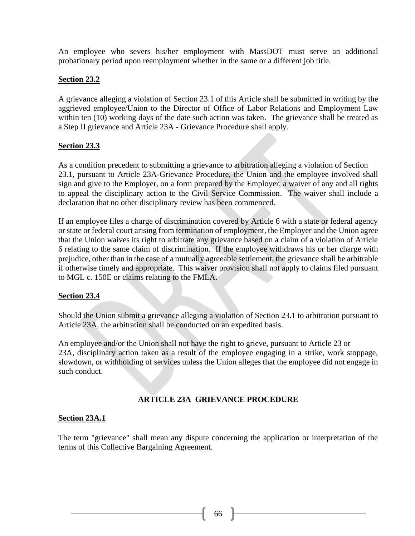An employee who severs his/her employment with MassDOT must serve an additional probationary period upon reemployment whether in the same or a different job title.

#### **Section 23.2**

A grievance alleging a violation of Section 23.1 of this Article shall be submitted in writing by the aggrieved employee/Union to the Director of Office of Labor Relations and Employment Law within ten (10) working days of the date such action was taken. The grievance shall be treated as a Step II grievance and Article 23A - Grievance Procedure shall apply.

## **Section 23.3**

As a condition precedent to submitting a grievance to arbitration alleging a violation of Section 23.1, pursuant to Article 23A-Grievance Procedure, the Union and the employee involved shall sign and give to the Employer, on a form prepared by the Employer, a waiver of any and all rights to appeal the disciplinary action to the Civil Service Commission. The waiver shall include a declaration that no other disciplinary review has been commenced.

If an employee files a charge of discrimination covered by Article 6 with a state or federal agency or state or federal court arising from termination of employment, the Employer and the Union agree that the Union waives its right to arbitrate any grievance based on a claim of a violation of Article 6 relating to the same claim of discrimination. If the employee withdraws his or her charge with prejudice, other than in the case of a mutually agreeable settlement, the grievance shall be arbitrable if otherwise timely and appropriate. This waiver provision shall not apply to claims filed pursuant to MGL c. 150E or claims relating to the FMLA.

#### **Section 23.4**

Should the Union submit a grievance alleging a violation of Section 23.1 to arbitration pursuant to Article 23A, the arbitration shall be conducted on an expedited basis.

An employee and/or the Union shall not have the right to grieve, pursuant to Article 23 or 23A, disciplinary action taken as a result of the employee engaging in a strike, work stoppage, slowdown, or withholding of services unless the Union alleges that the employee did not engage in such conduct.

## **ARTICLE 23A GRIEVANCE PROCEDURE**

#### **Section 23A.1**

The term "grievance" shall mean any dispute concerning the application or interpretation of the terms of this Collective Bargaining Agreement.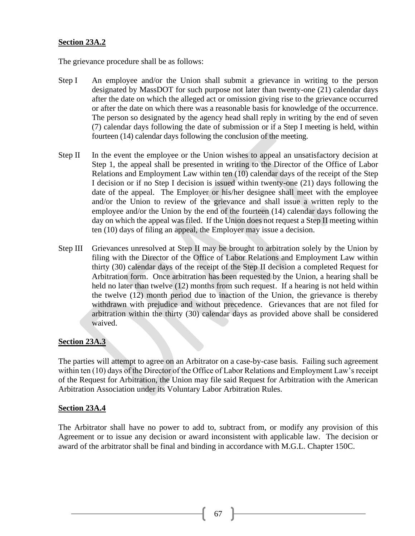#### **Section 23A.2**

The grievance procedure shall be as follows:

- Step I An employee and/or the Union shall submit a grievance in writing to the person designated by MassDOT for such purpose not later than twenty-one (21) calendar days after the date on which the alleged act or omission giving rise to the grievance occurred or after the date on which there was a reasonable basis for knowledge of the occurrence. The person so designated by the agency head shall reply in writing by the end of seven (7) calendar days following the date of submission or if a Step I meeting is held, within fourteen (14) calendar days following the conclusion of the meeting.
- Step II In the event the employee or the Union wishes to appeal an unsatisfactory decision at Step 1, the appeal shall be presented in writing to the Director of the Office of Labor Relations and Employment Law within ten (10) calendar days of the receipt of the Step I decision or if no Step I decision is issued within twenty-one (21) days following the date of the appeal. The Employer or his/her designee shall meet with the employee and/or the Union to review of the grievance and shall issue a written reply to the employee and/or the Union by the end of the fourteen (14) calendar days following the day on which the appeal was filed.If the Union does not request a Step II meeting within ten (10) days of filing an appeal, the Employer may issue a decision.
- Step III Grievances unresolved at Step II may be brought to arbitration solely by the Union by filing with the Director of the Office of Labor Relations and Employment Law within thirty (30) calendar days of the receipt of the Step II decision a completed Request for Arbitration form. Once arbitration has been requested by the Union, a hearing shall be held no later than twelve (12) months from such request. If a hearing is not held within the twelve (12) month period due to inaction of the Union, the grievance is thereby withdrawn with prejudice and without precedence. Grievances that are not filed for arbitration within the thirty (30) calendar days as provided above shall be considered waived.

## **Section 23A.3**

The parties will attempt to agree on an Arbitrator on a case-by-case basis. Failing such agreement within ten (10) days of the Director of the Office of Labor Relations and Employment Law's receipt of the Request for Arbitration, the Union may file said Request for Arbitration with the American Arbitration Association under its Voluntary Labor Arbitration Rules.

#### **Section 23A.4**

The Arbitrator shall have no power to add to, subtract from, or modify any provision of this Agreement or to issue any decision or award inconsistent with applicable law. The decision or award of the arbitrator shall be final and binding in accordance with M.G.L. Chapter 150C.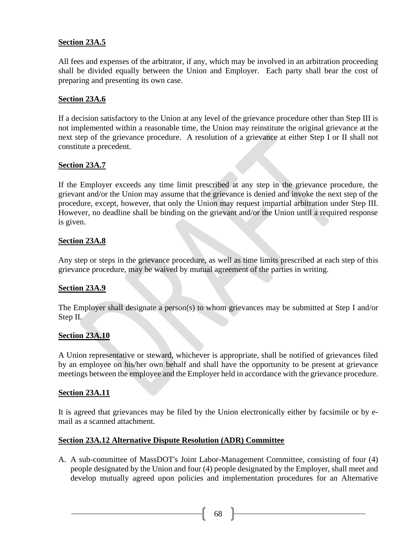## **Section 23A.5**

All fees and expenses of the arbitrator, if any, which may be involved in an arbitration proceeding shall be divided equally between the Union and Employer. Each party shall bear the cost of preparing and presenting its own case.

## **Section 23A.6**

If a decision satisfactory to the Union at any level of the grievance procedure other than Step III is not implemented within a reasonable time, the Union may reinstitute the original grievance at the next step of the grievance procedure. A resolution of a grievance at either Step I or II shall not constitute a precedent.

## **Section 23A.7**

If the Employer exceeds any time limit prescribed at any step in the grievance procedure, the grievant and/or the Union may assume that the grievance is denied and invoke the next step of the procedure, except, however, that only the Union may request impartial arbitration under Step III. However, no deadline shall be binding on the grievant and/or the Union until a required response is given.

#### **Section 23A.8**

Any step or steps in the grievance procedure, as well as time limits prescribed at each step of this grievance procedure, may be waived by mutual agreement of the parties in writing.

#### **Section 23A.9**

The Employer shall designate a person(s) to whom grievances may be submitted at Step I and/or Step II.

#### **Section 23A.10**

A Union representative or steward, whichever is appropriate, shall be notified of grievances filed by an employee on his/her own behalf and shall have the opportunity to be present at grievance meetings between the employee and the Employer held in accordance with the grievance procedure.

#### **Section 23A.11**

It is agreed that grievances may be filed by the Union electronically either by facsimile or by email as a scanned attachment.

#### **Section 23A.12 Alternative Dispute Resolution (ADR) Committee**

A. A sub-committee of MassDOT's Joint Labor-Management Committee, consisting of four (4) people designated by the Union and four (4) people designated by the Employer, shall meet and develop mutually agreed upon policies and implementation procedures for an Alternative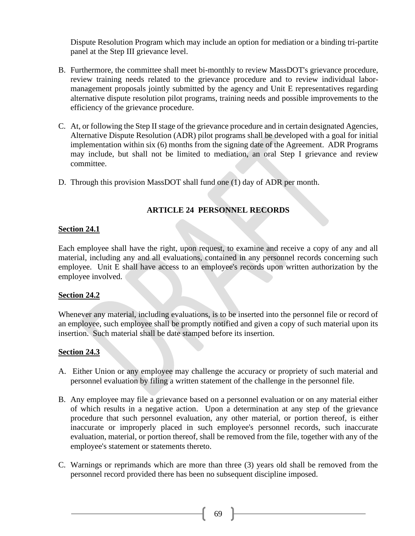Dispute Resolution Program which may include an option for mediation or a binding tri-partite panel at the Step III grievance level.

- B. Furthermore, the committee shall meet bi-monthly to review MassDOT's grievance procedure, review training needs related to the grievance procedure and to review individual labormanagement proposals jointly submitted by the agency and Unit E representatives regarding alternative dispute resolution pilot programs, training needs and possible improvements to the efficiency of the grievance procedure.
- C. At, or following the Step II stage of the grievance procedure and in certain designated Agencies, Alternative Dispute Resolution (ADR) pilot programs shall be developed with a goal for initial implementation within six (6) months from the signing date of the Agreement. ADR Programs may include, but shall not be limited to mediation, an oral Step I grievance and review committee.
- D. Through this provision MassDOT shall fund one (1) day of ADR per month.

# **ARTICLE 24 PERSONNEL RECORDS**

## **Section 24.1**

Each employee shall have the right, upon request, to examine and receive a copy of any and all material, including any and all evaluations, contained in any personnel records concerning such employee. Unit E shall have access to an employee's records upon written authorization by the employee involved.

## **Section 24.2**

Whenever any material, including evaluations, is to be inserted into the personnel file or record of an employee, such employee shall be promptly notified and given a copy of such material upon its insertion. Such material shall be date stamped before its insertion.

#### **Section 24.3**

- A. Either Union or any employee may challenge the accuracy or propriety of such material and personnel evaluation by filing a written statement of the challenge in the personnel file.
- B. Any employee may file a grievance based on a personnel evaluation or on any material either of which results in a negative action. Upon a determination at any step of the grievance procedure that such personnel evaluation, any other material, or portion thereof, is either inaccurate or improperly placed in such employee's personnel records, such inaccurate evaluation, material, or portion thereof, shall be removed from the file, together with any of the employee's statement or statements thereto.
- C. Warnings or reprimands which are more than three (3) years old shall be removed from the personnel record provided there has been no subsequent discipline imposed.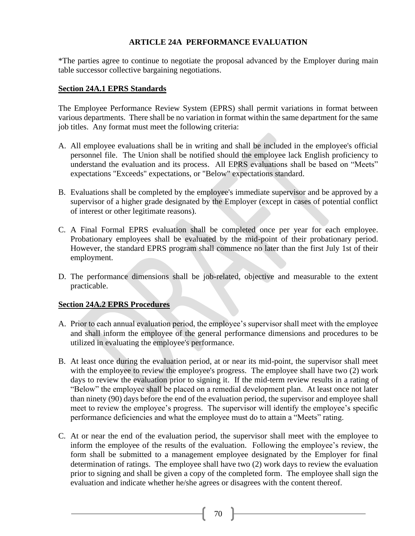## **ARTICLE 24A PERFORMANCE EVALUATION**

\*The parties agree to continue to negotiate the proposal advanced by the Employer during main table successor collective bargaining negotiations.

## **Section 24A.1 EPRS Standards**

The Employee Performance Review System (EPRS) shall permit variations in format between various departments. There shall be no variation in format within the same department for the same job titles. Any format must meet the following criteria:

- A. All employee evaluations shall be in writing and shall be included in the employee's official personnel file. The Union shall be notified should the employee lack English proficiency to understand the evaluation and its process. All EPRS evaluations shall be based on "Meets" expectations "Exceeds" expectations, or "Below" expectations standard.
- B. Evaluations shall be completed by the employee's immediate supervisor and be approved by a supervisor of a higher grade designated by the Employer (except in cases of potential conflict of interest or other legitimate reasons).
- C. A Final Formal EPRS evaluation shall be completed once per year for each employee. Probationary employees shall be evaluated by the mid-point of their probationary period. However, the standard EPRS program shall commence no later than the first July 1st of their employment.
- D. The performance dimensions shall be job-related, objective and measurable to the extent practicable.

## **Section 24A.2 EPRS Procedures**

- A. Prior to each annual evaluation period, the employee's supervisor shall meet with the employee and shall inform the employee of the general performance dimensions and procedures to be utilized in evaluating the employee's performance.
- B. At least once during the evaluation period, at or near its mid-point, the supervisor shall meet with the employee to review the employee's progress. The employee shall have two (2) work days to review the evaluation prior to signing it. If the mid-term review results in a rating of "Below" the employee shall be placed on a remedial development plan. At least once not later than ninety (90) days before the end of the evaluation period, the supervisor and employee shall meet to review the employee's progress. The supervisor will identify the employee's specific performance deficiencies and what the employee must do to attain a "Meets" rating.
- C. At or near the end of the evaluation period, the supervisor shall meet with the employee to inform the employee of the results of the evaluation. Following the employee's review, the form shall be submitted to a management employee designated by the Employer for final determination of ratings. The employee shall have two (2) work days to review the evaluation prior to signing and shall be given a copy of the completed form. The employee shall sign the evaluation and indicate whether he/she agrees or disagrees with the content thereof.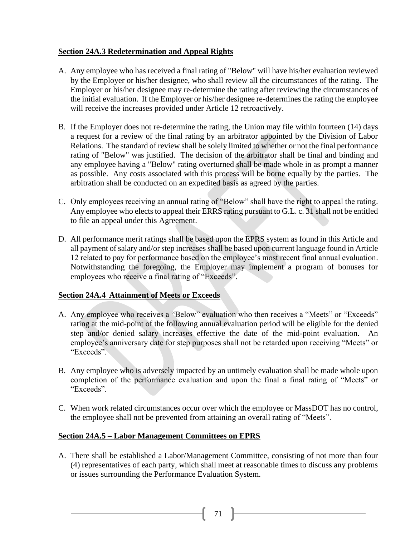## **Section 24A.3 Redetermination and Appeal Rights**

- A. Any employee who has received a final rating of "Below" will have his/her evaluation reviewed by the Employer or his/her designee, who shall review all the circumstances of the rating. The Employer or his/her designee may re-determine the rating after reviewing the circumstances of the initial evaluation. If the Employer or his/her designee re-determines the rating the employee will receive the increases provided under Article 12 retroactively.
- B. If the Employer does not re-determine the rating, the Union may file within fourteen (14) days a request for a review of the final rating by an arbitrator appointed by the Division of Labor Relations. The standard of review shall be solely limited to whether or not the final performance rating of "Below" was justified. The decision of the arbitrator shall be final and binding and any employee having a "Below" rating overturned shall be made whole in as prompt a manner as possible. Any costs associated with this process will be borne equally by the parties. The arbitration shall be conducted on an expedited basis as agreed by the parties.
- C. Only employees receiving an annual rating of "Below" shall have the right to appeal the rating. Any employee who elects to appeal their ERRS rating pursuant to G.L. c. 31 shall not be entitled to file an appeal under this Agreement.
- D. All performance merit ratings shall be based upon the EPRS system as found in this Article and all payment of salary and/or step increases shall be based upon current language found in Article 12 related to pay for performance based on the employee's most recent final annual evaluation. Notwithstanding the foregoing, the Employer may implement a program of bonuses for employees who receive a final rating of "Exceeds".

#### **Section 24A.4 Attainment of Meets or Exceeds**

- A. Any employee who receives a "Below" evaluation who then receives a "Meets" or "Exceeds" rating at the mid-point of the following annual evaluation period will be eligible for the denied step and/or denied salary increases effective the date of the mid-point evaluation. An employee's anniversary date for step purposes shall not be retarded upon receiving "Meets" or "Exceeds".
- B. Any employee who is adversely impacted by an untimely evaluation shall be made whole upon completion of the performance evaluation and upon the final a final rating of "Meets" or "Exceeds".
- C. When work related circumstances occur over which the employee or MassDOT has no control, the employee shall not be prevented from attaining an overall rating of "Meets".

## **Section 24A.5 – Labor Management Committees on EPRS**

A. There shall be established a Labor/Management Committee, consisting of not more than four (4) representatives of each party, which shall meet at reasonable times to discuss any problems or issues surrounding the Performance Evaluation System.

71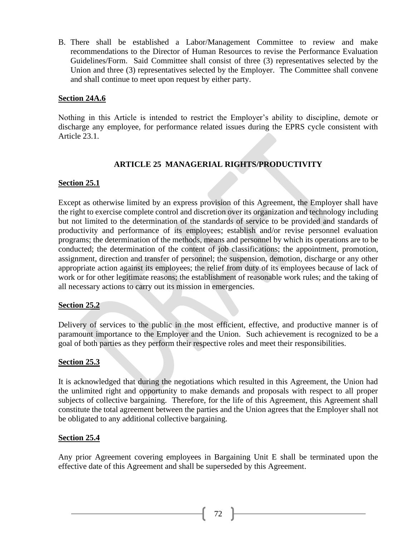B. There shall be established a Labor/Management Committee to review and make recommendations to the Director of Human Resources to revise the Performance Evaluation Guidelines/Form. Said Committee shall consist of three (3) representatives selected by the Union and three (3) representatives selected by the Employer. The Committee shall convene and shall continue to meet upon request by either party.

## **Section 24A.6**

Nothing in this Article is intended to restrict the Employer's ability to discipline, demote or discharge any employee, for performance related issues during the EPRS cycle consistent with Article 23.1.

# **ARTICLE 25 MANAGERIAL RIGHTS/PRODUCTIVITY**

## **Section 25.1**

Except as otherwise limited by an express provision of this Agreement, the Employer shall have the right to exercise complete control and discretion over its organization and technology including but not limited to the determination of the standards of service to be provided and standards of productivity and performance of its employees; establish and/or revise personnel evaluation programs; the determination of the methods, means and personnel by which its operations are to be conducted; the determination of the content of job classifications; the appointment, promotion, assignment, direction and transfer of personnel; the suspension, demotion, discharge or any other appropriate action against its employees; the relief from duty of its employees because of lack of work or for other legitimate reasons; the establishment of reasonable work rules; and the taking of all necessary actions to carry out its mission in emergencies.

#### **Section 25.2**

Delivery of services to the public in the most efficient, effective, and productive manner is of paramount importance to the Employer and the Union. Such achievement is recognized to be a goal of both parties as they perform their respective roles and meet their responsibilities.

#### **Section 25.3**

It is acknowledged that during the negotiations which resulted in this Agreement, the Union had the unlimited right and opportunity to make demands and proposals with respect to all proper subjects of collective bargaining. Therefore, for the life of this Agreement, this Agreement shall constitute the total agreement between the parties and the Union agrees that the Employer shall not be obligated to any additional collective bargaining.

#### **Section 25.4**

Any prior Agreement covering employees in Bargaining Unit E shall be terminated upon the effective date of this Agreement and shall be superseded by this Agreement.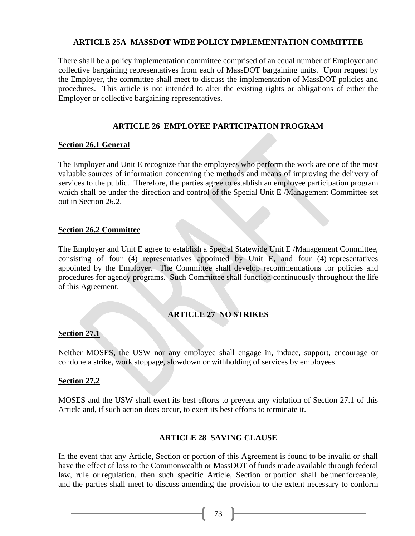### **ARTICLE 25A MASSDOT WIDE POLICY IMPLEMENTATION COMMITTEE**

There shall be a policy implementation committee comprised of an equal number of Employer and collective bargaining representatives from each of MassDOT bargaining units. Upon request by the Employer, the committee shall meet to discuss the implementation of MassDOT policies and procedures. This article is not intended to alter the existing rights or obligations of either the Employer or collective bargaining representatives.

# **ARTICLE 26 EMPLOYEE PARTICIPATION PROGRAM**

### **Section 26.1 General**

The Employer and Unit E recognize that the employees who perform the work are one of the most valuable sources of information concerning the methods and means of improving the delivery of services to the public. Therefore, the parties agree to establish an employee participation program which shall be under the direction and control of the Special Unit E /Management Committee set out in Section 26.2.

### **Section 26.2 Committee**

The Employer and Unit E agree to establish a Special Statewide Unit E /Management Committee, consisting of four (4) representatives appointed by Unit E, and four (4) representatives appointed by the Employer. The Committee shall develop recommendations for policies and procedures for agency programs. Such Committee shall function continuously throughout the life of this Agreement.

# **ARTICLE 27 NO STRIKES**

## **Section 27.1**

Neither MOSES, the USW nor any employee shall engage in, induce, support, encourage or condone a strike, work stoppage, slowdown or withholding of services by employees.

#### **Section 27.2**

MOSES and the USW shall exert its best efforts to prevent any violation of Section 27.1 of this Article and, if such action does occur, to exert its best efforts to terminate it.

## **ARTICLE 28 SAVING CLAUSE**

In the event that any Article, Section or portion of this Agreement is found to be invalid or shall have the effect of loss to the Commonwealth or MassDOT of funds made available through federal law, rule or regulation, then such specific Article, Section or portion shall be unenforceable, and the parties shall meet to discuss amending the provision to the extent necessary to conform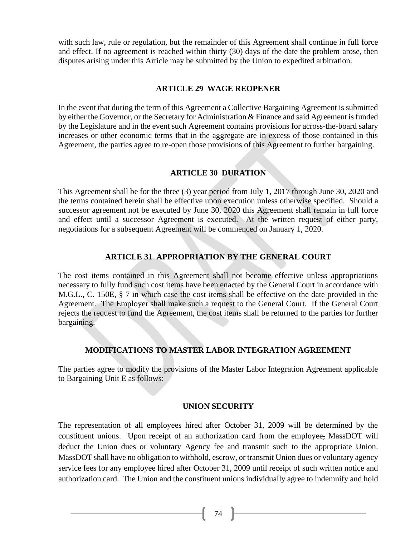with such law, rule or regulation, but the remainder of this Agreement shall continue in full force and effect. If no agreement is reached within thirty (30) days of the date the problem arose, then disputes arising under this Article may be submitted by the Union to expedited arbitration.

#### **ARTICLE 29 WAGE REOPENER**

In the event that during the term of this Agreement a Collective Bargaining Agreement is submitted by either the Governor, or the Secretary for Administration & Finance and said Agreement is funded by the Legislature and in the event such Agreement contains provisions for across-the-board salary increases or other economic terms that in the aggregate are in excess of those contained in this Agreement, the parties agree to re-open those provisions of this Agreement to further bargaining.

## **ARTICLE 30 DURATION**

This Agreement shall be for the three (3) year period from July 1, 2017 through June 30, 2020 and the terms contained herein shall be effective upon execution unless otherwise specified. Should a successor agreement not be executed by June 30, 2020 this Agreement shall remain in full force and effect until a successor Agreement is executed. At the written request of either party, negotiations for a subsequent Agreement will be commenced on January 1, 2020.

## **ARTICLE 31 APPROPRIATION BY THE GENERAL COURT**

The cost items contained in this Agreement shall not become effective unless appropriations necessary to fully fund such cost items have been enacted by the General Court in accordance with M.G.L., C. 150E, § 7 in which case the cost items shall be effective on the date provided in the Agreement. The Employer shall make such a request to the General Court. If the General Court rejects the request to fund the Agreement, the cost items shall be returned to the parties for further bargaining.

## **MODIFICATIONS TO MASTER LABOR INTEGRATION AGREEMENT**

The parties agree to modify the provisions of the Master Labor Integration Agreement applicable to Bargaining Unit E as follows:

#### **UNION SECURITY**

The representation of all employees hired after October 31, 2009 will be determined by the constituent unions. Upon receipt of an authorization card from the employee, MassDOT will deduct the Union dues or voluntary Agency fee and transmit such to the appropriate Union. MassDOT shall have no obligation to withhold, escrow, or transmit Union dues or voluntary agency service fees for any employee hired after October 31, 2009 until receipt of such written notice and authorization card. The Union and the constituent unions individually agree to indemnify and hold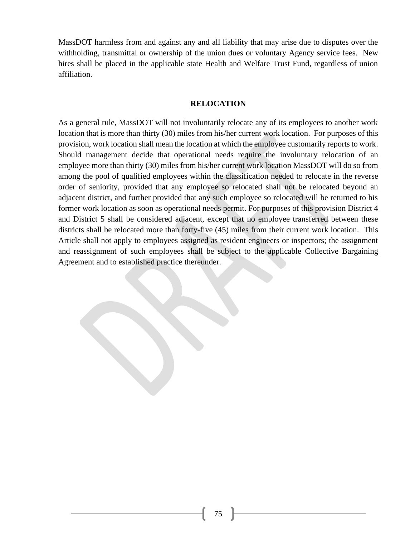MassDOT harmless from and against any and all liability that may arise due to disputes over the withholding, transmittal or ownership of the union dues or voluntary Agency service fees. New hires shall be placed in the applicable state Health and Welfare Trust Fund, regardless of union affiliation.

#### **RELOCATION**

As a general rule, MassDOT will not involuntarily relocate any of its employees to another work location that is more than thirty (30) miles from his/her current work location. For purposes of this provision, work location shall mean the location at which the employee customarily reports to work. Should management decide that operational needs require the involuntary relocation of an employee more than thirty (30) miles from his/her current work location MassDOT will do so from among the pool of qualified employees within the classification needed to relocate in the reverse order of seniority, provided that any employee so relocated shall not be relocated beyond an adjacent district, and further provided that any such employee so relocated will be returned to his former work location as soon as operational needs permit. For purposes of this provision District 4 and District 5 shall be considered adjacent, except that no employee transferred between these districts shall be relocated more than forty-five (45) miles from their current work location. This Article shall not apply to employees assigned as resident engineers or inspectors; the assignment and reassignment of such employees shall be subject to the applicable Collective Bargaining Agreement and to established practice thereunder.